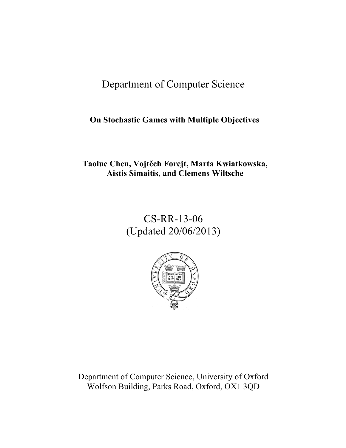# Department of Computer Science

## **On Stochastic Games with Multiple Objectives**

## **Taolue Chen, Vojtěch Forejt, Marta Kwiatkowska, Aistis Simaitis, and Clemens Wiltsche**

# CS-RR-13-06 (Updated 20/06/2013)



Department of Computer Science, University of Oxford Wolfson Building, Parks Road, Oxford, OX1 3QD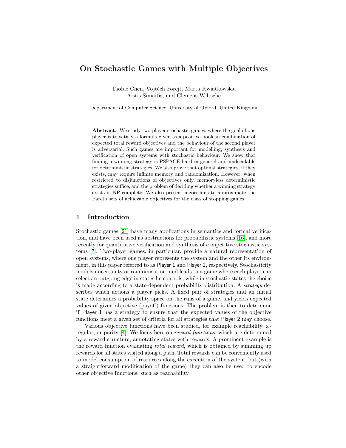## On Stochastic Games with Multiple Objectives

Taolue Chen, Vojtěch Forejt, Marta Kwiatkowska, Aistis Simaitis, and Clemens Wiltsche

Department of Computer Science, University of Oxford, United Kingdom

Abstract. We study two-player stochastic games, where the goal of one player is to satisfy a formula given as a positive boolean combination of expected total reward objectives and the behaviour of the second player is adversarial. Such games are important for modelling, synthesis and verification of open systems with stochastic behaviour. We show that finding a winning strategy is PSPACE-hard in general and undecidable for deterministic strategies. We also prove that optimal strategies, if they exists, may require infinite memory and randomisation. However, when restricted to disjunctions of objectives only, memoryless deterministic strategies suffice, and the problem of deciding whether a winning strategy exists is NP-complete. We also present algorithms to approximate the Pareto sets of achievable objectives for the class of stopping games.

## 1 Introduction

Stochastic games [\[21\]](#page-12-0) have many applications in semantics and formal verification, and have been used as abstractions for probabilistic systems [\[16\]](#page-12-1), and more recently for quantitative verification and synthesis of competitive stochastic systems [\[7\]](#page-12-2). Two-player games, in particular, provide a natural representation of open systems, where one player represents the system and the other its environment, in this paper referred to as Player 1 and Player 2, respectively. Stochasticity models uncertainty or randomisation, and leads to a game where each player can select an outgoing edge in states he controls, while in stochastic states the choice is made according to a state-dependent probability distribution. A strategy describes which actions a player picks. A fixed pair of strategies and an initial state determines a probability space on the runs of a game, and yields expected values of given objective (payoff) functions. The problem is then to determine if Player 1 has a strategy to ensure that the expected values of the objective functions meet a given set of criteria for all strategies that Player 2 may choose.

Various objective functions have been studied, for example reachability,  $\omega$ regular, or parity [\[4\]](#page-12-3). We focus here on reward functions, which are determined by a reward structure, annotating states with rewards. A prominent example is the reward function evaluating total reward, which is obtained by summing up rewards for all states visited along a path. Total rewards can be conveniently used to model consumption of resources along the execution of the system, but (with a straightforward modification of the game) they can also be used to encode other objective functions, such as reachability.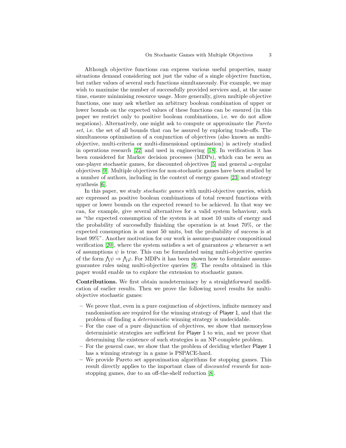Although objective functions can express various useful properties, many situations demand considering not just the value of a single objective function, but rather values of several such functions simultaneously. For example, we may wish to maximise the number of successfully provided services and, at the same time, ensure minimising resource usage. More generally, given multiple objective functions, one may ask whether an arbitrary boolean combination of upper or lower bounds on the expected values of these functions can be ensured (in this paper we restrict only to positive boolean combinations, i.e. we do not allow negations). Alternatively, one might ask to compute or approximate the Pareto set, i.e. the set of all bounds that can be assured by exploring trade-offs. The simultaneous optimisation of a conjunction of objectives (also known as multiobjective, multi-criteria or multi-dimensional optimisation) is actively studied in operations research [\[22\]](#page-12-4) and used in engineering [\[18\]](#page-12-5). In verification it has been considered for Markov decision processes (MDPs), which can be seen as one-player stochastic games, for discounted objectives [\[5\]](#page-12-6) and general  $\omega$ -regular objectives [\[9\]](#page-12-7). Multiple objectives for non-stochastic games have been studied by a number of authors, including in the context of energy games [\[23\]](#page-12-8) and strategy synthesis [\[6\]](#page-12-9).

In this paper, we study *stochastic games* with multi-objective queries, which are expressed as positive boolean combinations of total reward functions with upper or lower bounds on the expected reward to be achieved. In that way we can, for example, give several alternatives for a valid system behaviour, such as "the expected consumption of the system is at most 10 units of energy and the probability of successfully finishing the operation is at least 70%, or the expected consumption is at most 50 units, but the probability of success is at least 99%". Another motivation for our work is assume-guarantee compositional verification [\[20\]](#page-12-10), where the system satisfies a set of guarantees  $\varphi$  whenever a set of assumptions  $\psi$  is true. This can be formulated using multi-objective queries of the form  $\bigwedge \psi \Rightarrow \bigwedge \varphi$ . For MDPs it has been shown how to formulate assumeguarantee rules using multi-objective queries [\[9\]](#page-12-7). The results obtained in this paper would enable us to explore the extension to stochastic games.

Contributions. We first obtain nondeterminacy by a straightforward modification of earlier results. Then we prove the following novel results for multiobjective stochastic games:

- We prove that, even in a pure conjunction of objectives, infinite memory and randomisation are required for the winning strategy of Player 1, and that the problem of finding a deterministic winning strategy is undecidable.
- For the case of a pure disjunction of objectives, we show that memoryless deterministic strategies are sufficient for Player 1 to win, and we prove that determining the existence of such strategies is an NP-complete problem.
- For the general case, we show that the problem of deciding whether Player 1 has a winning strategy in a game is PSPACE-hard.
- We provide Pareto set approximation algorithms for stopping games. This result directly applies to the important class of *discounted rewards* for nonstopping games, due to an off-the-shelf reduction [\[8\]](#page-12-11).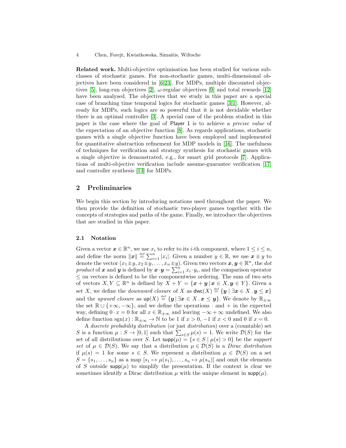Related work. Multi-objective optimisation has been studied for various subclasses of stochastic games. For non-stochastic games, multi-dimensional objectives have been considered in [\[6,](#page-12-9)[23\]](#page-12-8). For MDPs, multiple discounted objec-tives [\[5\]](#page-12-6), long-run objectives [\[2\]](#page-12-12),  $\omega$ -regular objectives [\[9\]](#page-12-7) and total rewards [\[12\]](#page-12-13) have been analysed. The objectives that we study in this paper are a special case of branching time temporal logics for stochastic games [\[3,](#page-12-14)[1\]](#page-12-15). However, already for MDPs, such logics are so powerful that it is not decidable whether there is an optimal controller [\[3\]](#page-12-14). A special case of the problem studied in this paper is the case where the goal of Player 1 is to achieve a precise value of the expectation of an objective function [\[8\]](#page-12-11). As regards applications, stochastic games with a single objective function have been employed and implemented for quantitative abstraction refinement for MDP models in [\[16\]](#page-12-1). The usefulness of techniques for verification and strategy synthesis for stochastic games with a single objective is demonstrated, e.g., for smart grid protocols [\[7\]](#page-12-2). Applications of multi-objective verification include assume-guarantee verification [\[17\]](#page-12-16) and controller synthesis [\[13\]](#page-12-17) for MDPs.

## 2 Preliminaries

We begin this section by introducing notations used throughout the paper. We then provide the definition of stochastic two-player games together with the concepts of strategies and paths of the game. Finally, we introduce the objectives that are studied in this paper.

#### 2.1 Notation

Given a vector  $\mathbf{x} \in \mathbb{R}^n$ , we use  $x_i$  to refer to its *i*-th component, where  $1 \leq i \leq n$ , and define the norm  $||x|| \stackrel{\text{def}}{=} \sum_{i=1}^{n} |x_i|$ . Given a number  $y \in \mathbb{R}$ , we use  $x \pm y$  to denote the vector  $(x_1 \pm y, x_2 \pm y, \ldots, x_n \pm y)$ . Given two vectors  $x, y \in \mathbb{R}^n$ , the dot product of x and y is defined by  $x \cdot y = \sum_{i=1}^{n} x_i \cdot y_i$ , and the comparison operator  $\leq$  on vectors is defined to be the componentwise ordering. The sum of two sets of vectors  $X, Y \subseteq \mathbb{R}^n$  is defined by  $X + Y = \{x + y \mid x \in X, y \in Y\}$ . Given a set X, we define the *downward closure* of X as  $\mathsf{dwc}(X) \stackrel{\text{def}}{=} {\{y \mid \exists x \in X : y \leq x\}}$ and the *upward closure* as  $\text{up}(X) \stackrel{\text{def}}{=} \{ \mathbf{y} \mid \exists \mathbf{x} \in X \cdot \mathbf{x} \leq \mathbf{y} \}$ . We denote by  $\mathbb{R}_{\pm \infty}$ the set  $\mathbb{R} \cup \{+\infty, -\infty\}$ , and we define the operations  $\cdot$  and  $+$  in the expected way, defining  $0 \cdot x = 0$  for all  $x \in \mathbb{R}_{\pm \infty}$  and leaving  $-\infty + \infty$  undefined. We also define function  $sgn(x) : \mathbb{R}_{\pm\infty} \to \mathbb{N}$  to be 1 if  $x > 0$ ,  $-1$  if  $x < 0$  and 0 if  $x = 0$ .

A discrete probability distribution (or just distribution) over a (countable) set S is a function  $\mu : S \to [0,1]$  such that  $\sum_{s \in S} \mu(s) = 1$ . We write  $\mathcal{D}(S)$  for the set of all distributions over S. Let  $\text{supp}(\mu) = \{s \in S \mid \mu(s) > 0\}$  be the support set of  $\mu \in \mathcal{D}(S)$ . We say that a distribution  $\mu \in \mathcal{D}(S)$  is a *Dirac distribution* if  $\mu(s) = 1$  for some  $s \in S$ . We represent a distribution  $\mu \in \mathcal{D}(S)$  on a set  $S = \{s_1, \ldots, s_n\}$  as a map  $[s_1 \mapsto \mu(s_1), \ldots, s_n \mapsto \mu(s_n)]$  and omit the elements of S outside  $\text{supp}(\mu)$  to simplify the presentation. If the context is clear we sometimes identify a Dirac distribution  $\mu$  with the unique element in supp( $\mu$ ).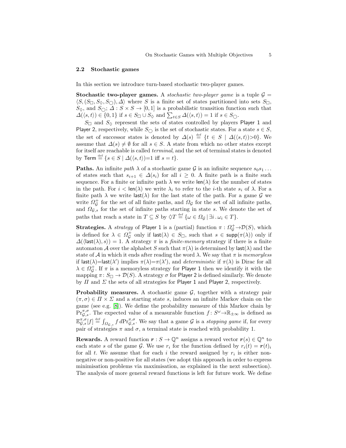#### 2.2 Stochastic games

In this section we introduce turn-based stochastic two-player games.

**Stochastic two-player games.** A stochastic two-player game is a tuple  $\mathcal{G} =$  $\langle S, (S_{\Box}, S_{\Diamond}, S_{\bigcirc}), \Delta \rangle$  where S is a finite set of states partitioned into sets  $S_{\Box}$ ,  $S_{\Diamond}$ , and  $S_{\bigcirc}$ ;  $\varDelta$  :  $S \times S \rightarrow [0,1]$  is a probabilistic transition function such that  $\Delta(\langle s,t\rangle) \in \{0,1\}$  if  $s \in S_{\square} \cup S_{\lozenge}$  and  $\sum_{t \in S} \Delta(\langle s,t\rangle) = 1$  if  $s \in S_{\bigcirc}$ .

 $S_{\Box}$  and  $S_{\Diamond}$  represent the sets of states controlled by players Player 1 and Player 2, respectively, while  $S_{\bigcirc}$  is the set of stochastic states. For a state  $s \in S$ , the set of successor states is denoted by  $\Delta(s) \stackrel{\text{def}}{=} \{t \in S \mid \Delta(\langle s,t \rangle) > 0\}.$  We assume that  $\Delta(s) \neq \emptyset$  for all  $s \in S$ . A state from which no other states except for itself are reachable is called terminal, and the set of terminal states is denoted by Term  $\stackrel{\text{def}}{=} \{ s \in S \mid \Delta(\langle s, t \rangle)=1 \text{ iff } s=t \}.$ 

**Paths.** An infinite path  $\lambda$  of a stochastic game G is an infinite sequence  $s_0s_1 \ldots$ of states such that  $s_{i+1} \in \Delta(s_i)$  for all  $i \geq 0$ . A finite path is a finite such sequence. For a finite or infinite path  $\lambda$  we write  $\text{len}(\lambda)$  for the number of states in the path. For  $i < \text{len}(\lambda)$  we write  $\lambda_i$  to refer to the *i*-th state  $s_i$  of  $\lambda$ . For a finite path  $\lambda$  we write last( $\lambda$ ) for the last state of the path. For a game G we write  $\Omega_{\mathcal{G}}^{+}$  for the set of all finite paths, and  $\Omega_{\mathcal{G}}$  for the set of all infinite paths, and  $\Omega_{\mathcal{G},s}$  for the set of infinite paths starting in state s. We denote the set of paths that reach a state in  $T \subseteq S$  by  $\Diamond T \stackrel{\text{def}}{=} {\{\omega \in \Omega_{\mathcal{G}} \mid \exists i \,.\, \omega_i \in T\}}.$ 

**Strategies.** A *strategy* of Player 1 is a (partial) function  $\pi : \Omega_{\mathcal{G}}^+ \to \mathcal{D}(S)$ , which is defined for  $\lambda \in \Omega_{\mathcal{G}}^+$  only if  $\mathsf{last}(\lambda) \in S_{\square}$ , such that  $s \in \mathsf{supp}(\pi(\lambda))$  only if  $\Delta(\langle \textsf{last}(\lambda), s \rangle) = 1$ . A strategy  $\pi$  is a *finite-memory* strategy if there is a finite automaton A over the alphabet S such that  $\pi(\lambda)$  is determined by last( $\lambda$ ) and the state of A in which it ends after reading the word  $\lambda$ . We say that  $\pi$  is memoryless if  $\textsf{last}(\lambda) = \textsf{last}(\lambda')$  implies  $\pi(\lambda) = \pi(\lambda')$ , and *deterministic* if  $\pi(\lambda)$  is Dirac for all  $\lambda \in \Omega_{\mathcal{G}}^{+}$ . If  $\pi$  is a memoryless strategy for Player 1 then we identify it with the mapping  $\pi: S_{\square} \to \mathcal{D}(S)$ . A strategy  $\sigma$  for Player 2 is defined similarly. We denote by  $\Pi$  and  $\Sigma$  the sets of all strategies for Player 1 and Player 2, respectively.

**Probability measures.** A stochastic game  $\mathcal{G}$ , together with a strategy pair  $(\pi, \sigma) \in \Pi \times \Sigma$  and a starting state s, induces an infinite Markov chain on the game (see e.g. [\[8\]](#page-12-11)). We define the probability measure of this Markov chain by  $\Pr_{\mathcal{G},s}^{\pi,\sigma}$ . The expected value of a measurable function  $f: S^{\omega} \to \mathbb{R}_{\pm \infty}$  is defined as  $\mathbb{E}_{\mathcal{G},s}^{\pi,\sigma}[f] \stackrel{\text{def}}{=} \int_{\Omega_{\mathcal{G},s}} f d\mathrm{Pr}_{\mathcal{G},s}^{\pi,\sigma}$ . We say that a game  $\mathcal{G}$  is a *stopping game* if, for every pair of strategies  $\pi$  and  $\sigma$ , a terminal state is reached with probability 1.

**Rewards.** A reward function  $r : S \to \mathbb{Q}^n$  assigns a reward vector  $r(s) \in \mathbb{Q}^n$  to each state s of the game G. We use  $r_i$  for the function defined by  $r_i(t) = r(t)_i$ for all t. We assume that for each i the reward assigned by  $r_i$  is either nonnegative or non-positive for all states (we adopt this approach in order to express minimisation problems via maximisation, as explained in the next subsection). The analysis of more general reward functions is left for future work. We define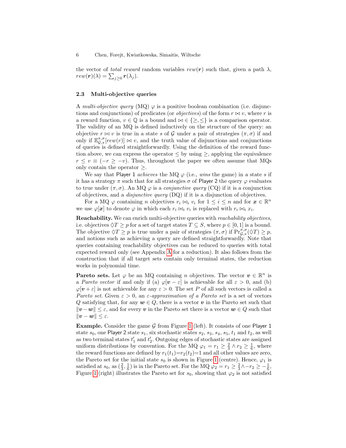the vector of *total reward* random variables  $rew(r)$  such that, given a path  $\lambda$ ,  $rew(\boldsymbol{r})(\lambda) = \sum_{j\geq 0} \boldsymbol{r}(\lambda_j).$ 

#### 2.3 Multi-objective queries

A multi-objective query (MQ)  $\varphi$  is a positive boolean combination (i.e. disjunctions and conjunctions) of predicates (or *objectives*) of the form  $r \bowtie v$ , where r is a reward function,  $v \in \mathbb{Q}$  is a bound and  $\bowtie \in \{\geq, \leq\}$  is a comparison operator. The validity of an MQ is defined inductively on the structure of the query: an objective  $r \bowtie v$  is true in a state s of G under a pair of strategies  $(\pi, \sigma)$  if and only if  $\mathbb{E}_{\mathcal{G},s}^{\pi,\sigma}[rew(r)] \bowtie v$ , and the truth value of disjunctions and conjunctions of queries is defined straightforwardly. Using the definition of the reward function above, we can express the operator  $\leq$  by using  $\geq$ , applying the equivalence  $r \leq v \equiv (-r \geq -v)$ . Thus, throughout the paper we often assume that MQs only contain the operator  $\geq$ .

We say that Player 1 achieves the MQ  $\varphi$  (i.e., wins the game) in a state s if it has a strategy  $\pi$  such that for all strategies  $\sigma$  of Player 2 the query  $\varphi$  evaluates to true under  $(\pi, \sigma)$ . An MQ  $\varphi$  is a *conjunctive query* (CQ) if it is a conjunction of objectives, and a disjunctive query (DQ) if it is a disjunction of objectives.

For a MQ  $\varphi$  containing *n* objectives  $r_i \bowtie_i v_i$  for  $1 \leq i \leq n$  and for  $\boldsymbol{x} \in \mathbb{R}^n$ we use  $\varphi[\mathbf{x}]$  to denote  $\varphi$  in which each  $r_i \bowtie_i v_i$  is replaced with  $r_i \bowtie_i x_i$ .

Reachability. We can enrich multi-objective queries with *reachability objectives*, i.e. objectives  $\Diamond T \geq p$  for a set of target states  $T \subseteq S$ , where  $p \in [0,1]$  is a bound. The objective  $\Diamond T \geq p$  is true under a pair of strategies  $(\pi, \sigma)$  if  $Pr_{\mathcal{G}, s}^{\pi, \sigma}(\Diamond T) \geq p$ , and notions such as achieving a query are defined straightforwardly. Note that queries containing reachability objectives can be reduced to queries with total expected reward only (see Appendix [A](#page-13-0) for a reduction). It also follows from the construction that if all target sets contain only terminal states, the reduction works in polynomial time.

**Pareto sets.** Let  $\varphi$  be an MQ containing *n* objectives. The vector  $v \in \mathbb{R}^n$  is a *Pareto vector* if and only if (a)  $\varphi[\mathbf{v} - \varepsilon]$  is achievable for all  $\varepsilon > 0$ , and (b)  $\varphi[\mathbf{v} + \varepsilon]$  is not achievable for any  $\varepsilon > 0$ . The set P of all such vectors is called a Pareto set. Given  $\varepsilon > 0$ , an  $\varepsilon$ -approximation of a Pareto set is a set of vectors Q satisfying that, for any  $w \in Q$ , there is a vector v in the Pareto set such that  $\|\boldsymbol{v} - \boldsymbol{w}\| \leq \varepsilon$ , and for every  $\boldsymbol{v}$  in the Pareto set there is a vector  $\boldsymbol{w} \in Q$  such that  $\|\boldsymbol{v} - \boldsymbol{w}\| \leq \varepsilon.$ 

**Example.** Consider the game  $G$  from Figure [1](#page-6-0) (left). It consists of one Player 1 state  $s_0$ , one Player 2 state  $s_1$ , six stochastic states  $s_2$ ,  $s_3$ ,  $s_4$ ,  $s_5$ ,  $t_1$  and  $t_2$ , as well as two terminal states  $t'_1$  and  $t'_2$ . Outgoing edges of stochastic states are assigned uniform distributions by convention. For the MQ  $\varphi_1 = r_1 \geq \frac{2}{3} \wedge r_2 \geq \frac{1}{6}$ , where the reward functions are defined by  $r_1(t_1)=r_2(t_2)=1$  and all other values are zero, the Pareto set for the initial state  $s_0$  is shown in Figure [1](#page-6-0) (centre). Hence,  $\varphi_1$  is satisfied at  $s_0$ , as  $(\frac{2}{3}, \frac{1}{6})$  is in the Pareto set. For the MQ  $\varphi_2 = r_1 \geq \frac{2}{3} \wedge -r_2 \geq -\frac{1}{6}$ , Figure [1](#page-6-0) (right) illustrates the Pareto set for  $s_0$ , showing that  $\varphi_2$  is not satisfied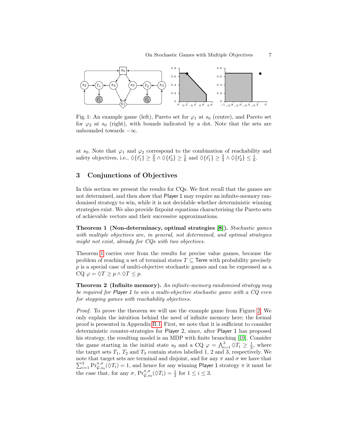<span id="page-6-0"></span>

Fig. 1: An example game (left), Pareto set for  $\varphi_1$  at  $s_0$  (centre), and Pareto set for  $\varphi_2$  at  $s_0$  (right), with bounds indicated by a dot. Note that the sets are unbounded towards  $-\infty$ .

at  $s_0$ . Note that  $\varphi_1$  and  $\varphi_2$  correspond to the combination of reachability and safety objectives, i.e.,  $\Diamond \{t'_1\} \ge \frac{2}{3} \land \Diamond \{t'_2\} \ge \frac{1}{6}$  and  $\Diamond \{t'_1\} \ge \frac{2}{3} \land \Diamond \{t'_2\} \le \frac{1}{6}$ .

## <span id="page-6-3"></span>3 Conjunctions of Objectives

In this section we present the results for CQs. We first recall that the games are not determined, and then show that Player 1 may require an infinite-memory randomised strategy to win, while it is not decidable whether deterministic winning strategies exist. We also provide fixpoint equations characterising the Pareto sets of achievable vectors and their successive approximations.

<span id="page-6-1"></span>Theorem 1 (Non-determinacy, optimal strategies [\[8\]](#page-12-11)). Stochastic games with multiple objectives are, in general, not determined, and optimal strategies might not exist, already for CQs with two objectives.

Theorem [1](#page-6-1) carries over from the results for precise value games, because the problem of reaching a set of terminal states  $T \subseteq$  Term with probability precisely p is a special case of multi-objective stochastic games and can be expressed as a CQ  $\varphi = \Diamond T \geq p \land \Diamond T \leq p$ .

<span id="page-6-2"></span>Theorem 2 (Infinite memory). An infinite-memory randomised strategy may be required for Player 1 to win a multi-objective stochastic game with a CQ even for stopping games with reachability objectives.

Proof. To prove the theorem we will use the example game from Figure [2.](#page-7-0) We only explain the intuition behind the need of infinite memory here; the formal proof is presented in Appendix [B.1.](#page-13-1) First, we note that it is sufficient to consider deterministic counter-strategies for Player 2, since, after Player 1 has proposed his strategy, the resulting model is an MDP with finite branching [\[19\]](#page-12-18). Consider the game starting in the initial state  $s_0$  and a CQ  $\varphi = \bigwedge_{i=1}^3 \varphi T_i \geq \frac{1}{3}$ , where the target sets  $T_1$ ,  $T_2$  and  $T_3$  contain states labelled 1, 2 and 3, respectively. We note that target sets are terminal and disjoint, and for any  $\pi$  and  $\sigma$  we have that note that target sets are terminal and disjoint, and for any  $\pi$  and  $\sigma$  we have that  $\sum_{i=1}^{3} \Pr_{\mathcal{G},s_0}^{\pi,\sigma}(\Diamond T_i) = 1$ , and hence for any winning Player 1 strategy  $\pi$  it must be the case that, for any  $\sigma$ ,  $\Pr_{\mathcal{G},s_0}^{\pi,\sigma}(\lozenge T_i) = \frac{1}{3}$  for  $1 \leq i \leq 3$ .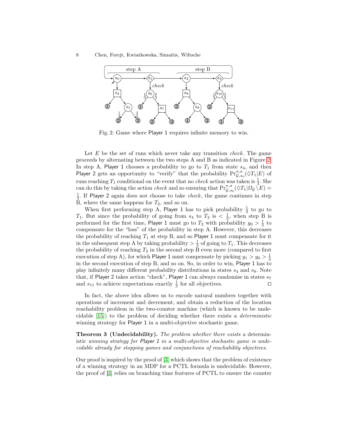<span id="page-7-0"></span>8 Chen, Forejt, Kwiatkowska, Simaitis, Wiltsche



Fig. 2: Game where Player 1 requires infinite memory to win.

Let  $E$  be the set of runs which never take any transition *check*. The game proceeds by alternating between the two steps A and B as indicated in Figure [2.](#page-7-0) In step A, Player 1 chooses a probability to go to  $T_1$  from state  $s_4$ , and then Player 2 gets an opportunity to "verify" that the probability  $\Pr_{\mathcal{G},s_0}^{\pi,\sigma}(\Diamond T_1|E)$  of runs reaching  $T_1$  conditional on the event that no *check* action was taken is  $\frac{1}{3}$ . She can do this by taking the action *check* and so ensuring that  $\Pr_{\mathcal{G},s_0}^{\pi,\sigma}(\Diamond T_1|\Omega_{\mathcal{G}}\Diamond E)=$  $\frac{1}{3}$ . If Player 2 again does not choose to take *check*, the game continues in step B, where the same happens for  $T_2$ , and so on.

When first performing step A, Player 1 has to pick probability  $\frac{1}{3}$  to go to  $T_1$ . But since the probability of going from  $s_4$  to  $T_2$  is  $\langle \frac{1}{3}, \text{ when step B is} \rangle$ performed for the first time, Player 1 must go to  $T_2$  with probability  $y_0 > \frac{1}{3}$  to compensate for the "loss" of the probability in step A. However, this decreases the probability of reaching  $T_1$  at step B, and so Player 1 must compensate for it in the subsequent step A by taking probability  $> \frac{1}{3}$  of going to  $T_1$ . This decreases the probability of reaching  $T_2$  in the second step B even more (compared to first execution of step A), for which Player 1 must compensate by picking  $y_1 > y_0 > \frac{1}{3}$ in the second execution of step B, and so on. So, in order to win, Player 1 has to play infinitely many different probability distributions in states  $s_4$  and  $s_8$ . Note that, if Player 2 takes action "check", Player 1 can always randomise in states  $s_7$ and  $s_{11}$  to achieve expectations exactly  $\frac{1}{3}$  for all objectives.

In fact, the above idea allows us to encode natural numbers together with operations of increment and decrement, and obtain a reduction of the location reachability problem in the two-counter machine (which is known to be undecidable [\[15\]](#page-12-19)) to the problem of deciding whether there exists a deterministic winning strategy for Player 1 in a multi-objective stochastic game.

<span id="page-7-1"></span>**Theorem 3 (Undecidability).** The problem whether there exists a deterministic winning strategy for Player 1 in a multi-objective stochastic game is undecidable already for stopping games and conjunctions of reachability objectives.

Our proof is inspired by the proof of [\[3\]](#page-12-14) which shows that the problem of existence of a winning strategy in an MDP for a PCTL formula is undecidable. However, the proof of [\[3\]](#page-12-14) relies on branching time features of PCTL to ensure the counter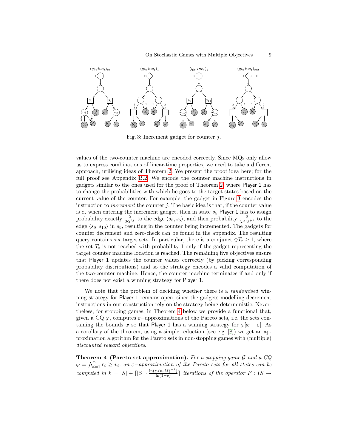<span id="page-8-0"></span>

Fig. 3: Increment gadget for counter j.

values of the two-counter machine are encoded correctly. Since MQs only allow us to express combinations of linear-time properties, we need to take a different approach, utilising ideas of Theorem [2.](#page-6-2) We present the proof idea here; for the full proof see Appendix [B.2.](#page-16-0) We encode the counter machine instructions in gadgets similar to the ones used for the proof of Theorem [2,](#page-6-2) where Player 1 has to change the probabilities with which he goes to the target states based on the current value of the counter. For example, the gadget in Figure [3](#page-8-0) encodes the instruction to *increment* the counter  $j$ . The basic idea is that, if the counter value is  $c_j$  when entering the increment gadget, then in state  $s_5$  Player 1 has to assign probability exactly  $\frac{2}{3 \cdot 2^{c_j}}$  to the edge  $\langle s_5, s_6 \rangle$ , and then probability  $\frac{2}{3 \cdot 2^{c_j+1}}$  to the edge  $\langle s_9, s_{10} \rangle$  in s<sub>9</sub>, resulting in the counter being incremented. The gadgets for counter decrement and zero-check can be found in the appendix. The resulting query contains six target sets. In particular, there is a conjunct  $\Diamond T_t \geq 1$ , where the set  $T_t$  is not reached with probability 1 only if the gadget representing the target counter machine location is reached. The remaining five objectives ensure that Player 1 updates the counter values correctly (by picking corresponding probability distributions) and so the strategy encodes a valid computation of the two-counter machine. Hence, the counter machine terminates if and only if there does not exist a winning strategy for Player 1.

We note that the problem of deciding whether there is a *randomised* winning strategy for Player 1 remains open, since the gadgets modelling decrement instructions in our construction rely on the strategy being deterministic. Nevertheless, for stopping games, in Theorem [4](#page-8-1) below we provide a functional that, given a CQ  $\varphi$ , computes  $\varepsilon$ -approximations of the Pareto sets, i.e. the sets containing the bounds x so that Player 1 has a winning strategy for  $\varphi$ [x –  $\varepsilon$ ]. As a corollary of the theorem, using a simple reduction (see e.g. [\[8\]](#page-12-11)) we get an approximation algorithm for the Pareto sets in non-stopping games with (multiple) discounted reward objectives.

<span id="page-8-1"></span>Theorem 4 (Pareto set approximation). For a stopping game  $G$  and a  $CQ$  $\varphi = \bigwedge_{i=1}^n r_i \geq v_i$ , an  $\varepsilon$ -approximation of the Pareto sets for all states can be computed in  $k = |S| + \lceil |S| \cdot \frac{\ln(\varepsilon \cdot (n \cdot M)^{-1})}{\ln(1-\delta)}$  $\lim_{\ln(1-\delta)}$  iterations of the operator  $F:(S \to$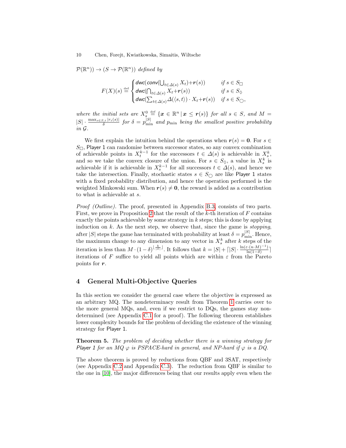$\mathcal{P}(\mathbb{R}^n) \to (S \to \mathcal{P}(\mathbb{R}^n))$  defined by

$$
F(X)(s) \stackrel{\text{def}}{=} \begin{cases} \text{dwc}(\text{conv}(\bigcup_{t \in \Delta(s)} X_t) + r(s)) & \text{if } s \in S_{\square} \\ \text{dwc}(\bigcap_{t \in \Delta(s)} X_t + r(s)) & \text{if } s \in S_{\lozenge} \\ \text{dwc}(\sum_{t \in \Delta(s)} \Delta(\langle s, t \rangle) \cdot X_t + r(s)) & \text{if } s \in S_{\square}, \end{cases}
$$

where the initial sets are  $X_s^0 \stackrel{\text{def}}{=} {\{x \in \mathbb{R}^n \mid x \leq r(s)\}}$  for all  $s \in S$ , and  $M =$  $|S| \cdot \frac{\max_{s \in S, i} |r_i(s)|}{\delta}$  for  $\delta = p_{\min}^{|S|}$  and  $p_{\min}$  being the smallest positive probability in G.

We first explain the intuition behind the operations when  $r(s) = 0$ . For  $s \in$  $S_{\Box}$ , Player 1 can randomise between successor states, so any convex combination of achievable points in  $X_t^{k-1}$  for the successors  $t \in \Delta(s)$  is achievable in  $X_s^k$ , and so we take the convex closure of the union. For  $s \in S_{\lozenge}$ , a value in  $X_s^k$  is achievable if it is achievable in  $X_s^{k-1}$  for all successors  $t \in \Delta(s)$ , and hence we take the intersection. Finally, stochastic states  $s \in S_{\bigcirc}$  are like Player 1 states with a fixed probability distribution, and hence the operation performed is the weighted Minkowski sum. When  $r(s) \neq 0$ , the reward is added as a contribution to what is achievable at s.

Proof (Outline). The proof, presented in Appendix [B.3,](#page-22-0) consists of two parts. First, we prove in Proposition [2](#page-22-1) that the result of the k-th iteration of F contains exactly the points achievable by some strategy in  $k$  steps; this is done by applying induction on  $k$ . As the next step, we observe that, since the game is *stopping*, after |S| steps the game has terminated with probability at least  $\delta = p_{\min}^{|S|}$ . Hence, the maximum change to any dimension to any vector in  $X_s^k$  after k steps of the iteration is less than  $M \cdot (1-\delta)^{\lfloor \frac{k}{|S|} \rfloor}$ . It follows that  $k = |S| + \lceil |S| \cdot \frac{\ln(\varepsilon \cdot (n \cdot M)^{-1})}{\ln(1-\delta)}$  $\frac{\sin(n \cdot M)}{\ln(1-\delta)}$ ] iterations of F suffice to yield all points which are within  $\varepsilon$  from the Pareto points for r.

### <span id="page-9-1"></span>4 General Multi-Objective Queries

In this section we consider the general case where the objective is expressed as an arbitrary MQ. The nondeterminacy result from Theorem [1](#page-6-1) carries over to the more general MQs, and, even if we restrict to DQs, the games stay nondetermined (see Appendix [C.1](#page-25-0) for a proof). The following theorem establishes lower complexity bounds for the problem of deciding the existence of the winning strategy for Player 1.

<span id="page-9-0"></span>Theorem 5. The problem of deciding whether there is a winning strategy for Player 1 for an MQ  $\varphi$  is PSPACE-hard in general, and NP-hard if  $\varphi$  is a DQ.

The above theorem is proved by reductions from QBF and 3SAT, respectively (see Appendix [C.2](#page-26-0) and Appendix [C.3\)](#page-28-0). The reduction from QBF is similar to the one in [\[10\]](#page-12-20), the major differences being that our results apply even when the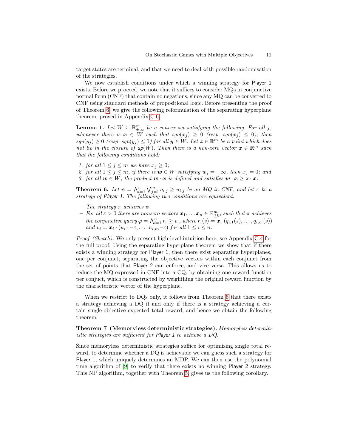target states are terminal, and that we need to deal with possible randomisation of the strategies.

We now establish conditions under which a winning strategy for Player 1 exists. Before we proceed, we note that it suffices to consider MQs in conjunctive normal form (CNF) that contain no negations, since any MQ can be converted to CNF using standard methods of propositional logic. Before presenting the proof of Theorem [6,](#page-10-0) we give the following reformulation of the separating hyperplane theorem, proved in Appendix [C.6.](#page-30-0)

<span id="page-10-2"></span>**Lemma 1.** Let  $W \subseteq \mathbb{R}^m_{\pm \infty}$  be a convex set satisfying the following. For all j, whenever there is  $x \in W$  such that  $sgn(x_j) \geq 0$  (resp.  $sgn(x_j) \leq 0$ ), then  $sgn(y_j) \geq 0$  (resp.  $sgn(y_j) \leq 0$ ) for all  $y \in W$ . Let  $z \in \mathbb{R}^m$  be a point which does not lie in the closure of  $up(W)$ . Then there is a non-zero vector  $x \in \mathbb{R}^m$  such that the following conditions hold:

<span id="page-10-3"></span>1. for all  $1 \leq j \leq m$  we have  $x_j \geq 0$ ;

<span id="page-10-5"></span><span id="page-10-4"></span>2. for all  $1 \le j \le m$ , if there is  $w \in W$  satisfying  $w_j = -\infty$ , then  $x_j = 0$ ; and 3. for all  $w \in W$ , the product  $w \cdot x$  is defined and satisfies  $w \cdot x \geq z \cdot x$ .

<span id="page-10-0"></span>**Theorem 6.** Let  $\psi = \bigwedge_{i=1}^{n} \bigvee_{j=1}^{m} q_{i,j} \geq u_{i,j}$  be an MQ in CNF, and let  $\pi$  be a strategy of Player 1. The following two conditions are equivalent.

- The strategy  $\pi$  achieves  $\psi$ .
- $-$  For all  $\varepsilon > 0$  there are nonzero vectors  $\boldsymbol{x}_1, \ldots \boldsymbol{x}_n \in \mathbb{R}_{\geq 0}^m$ , such that  $\pi$  achieves the conjunctive query  $\varphi = \bigwedge_{i=1}^n r_i \ge v_i$ , where  $r_i(s) = x_i \cdot (q_{i,1}(s), \ldots, q_{i,m}(s))$ and  $v_i = \boldsymbol{x}_i \cdot (u_{i,1} - \varepsilon, \ldots, u_{i,m} - \varepsilon)$  for all  $1 \leq i \leq n$ .

Proof (Sketch). We only present high-level intuition here, see Appendix [C.4](#page-29-0) for the full proof. Using the separating hyperplane theorem we show that if there exists a winning strategy for Player 1, then there exist separating hyperplanes, one per conjunct, separating the objective vectors within each conjunct from the set of points that Player 2 can enforce, and vice versa. This allows us to reduce the MQ expressed in CNF into a CQ, by obtaining one reward function per conjuct, which is constructed by weighthing the original reward function by the characteristic vector of the hyperplane.

When we restrict to DQs only, it follows from Theorem [6](#page-10-0) that there exists a strategy achieving a DQ if and only if there is a strategy achieving a certain single-objective expected total reward, and hence we obtain the following theorem.

<span id="page-10-1"></span>Theorem 7 (Memoryless deterministic strategies). Memoryless deterministic strategies are sufficient for Player 1 to achieve a DQ.

Since memoryless deterministic strategies suffice for optimising single total reward, to determine whether a DQ is achievable we can guess such a strategy for Player 1, which uniquely determines an MDP. We can then use the polynomial time algorithm of [\[9\]](#page-12-7) to verify that there exists no winning Player 2 strategy. This NP algorithm, together with Theorem [5,](#page-9-0) gives us the following corollary.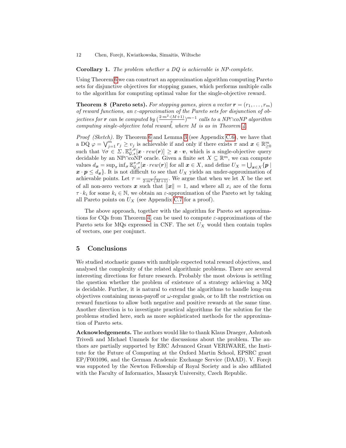Corollary 1. The problem whether a DQ is achievable is NP-complete.

Using Theorem [6](#page-10-0) we can construct an approximation algorithm computing Pareto sets for disjunctive objectives for stopping games, which performs multiple calls to the algorithm for computing optimal value for the single-objective reward.

<span id="page-11-0"></span>**Theorem 8 (Pareto sets).** For stopping games, given a vector  $\mathbf{r} = (r_1, \ldots, r_m)$ of reward functions, an ε-approximation of the Pareto sets for disjunction of objectives for **r** can be computed by  $\left(\frac{2 \cdot m^2 \cdot (M+1)}{\varepsilon}\right)$  $\frac{(M+1)}{\varepsilon})^{m-1}$  calls to a NP∩coNP algorithm computing single-objective total reward, where  $M$  is as in Theorem [4.](#page-8-1)

*Proof (Sketch).* By Theorem [6](#page-10-0) and Lemma [3](#page-31-0) (see Appendix [C.6\)](#page-30-0), we have that a DQ  $\varphi = \bigvee_{j=1}^{m} r_j \geq v_j$  is achievable if and only if there exists  $\pi$  and  $\boldsymbol{x} \in \mathbb{R}^m_{\geq 0}$ such that  $\forall \sigma \in \Sigma \cdot \mathbb{E}_{\mathcal{G},s}^{\pi,\sigma}[\mathbf{x} \cdot \textit{rew}(r)] \geq \mathbf{x} \cdot \mathbf{v}$ , which is a single-objective query decidable by an NP∩coNP oracle. Given a finite set  $X \subseteq \mathbb{R}^m$ , we can compute values  $d_{\boldsymbol{x}} = \sup_{\pi} \inf_{\sigma} \mathbb{E}_{\mathcal{G},s}^{\pi,\sigma} [\boldsymbol{x} \cdot \textit{rew}(\boldsymbol{r})]$  for all  $\boldsymbol{x} \in X$ , and define  $U_X = \bigcup_{\boldsymbol{x} \in X} \{ \boldsymbol{p} \mid$  $\mathbf{x} \cdot \mathbf{p} \leq d_{\mathbf{x}}$ . It is not difficult to see that  $U_X$  yields an under-approximation of achievable points. Let  $\tau = \frac{\varepsilon}{2 \cdot m^2 \cdot (M+1)}$ . We argue that when we let X be the set of all non-zero vectors x such that  $||x|| = 1$ , and where all  $x_i$  are of the form  $\tau \cdot k_i$  for some  $k_i \in \mathbb{N}$ , we obtain an  $\varepsilon$ -approximation of the Pareto set by taking all Pareto points on  $U_X$  (see Appendix [C.7](#page-32-0) for a proof).

The above approach, together with the algorithm for Pareto set approxima-tions for CQs from Theorem [4,](#page-8-1) can be used to compute  $\varepsilon$ -approximations of the Pareto sets for MQs expressed in CNF. The set  $U_X$  would then contain tuples of vectors, one per conjunct.

## 5 Conclusions

We studied stochastic games with multiple expected total reward objectives, and analysed the complexity of the related algorithmic problems. There are several interesting directions for future research. Probably the most obvious is settling the question whether the problem of existence of a strategy achieving a MQ is decidable. Further, it is natural to extend the algorithms to handle long-run objectives containing mean-payoff or  $\omega$ -regular goals, or to lift the restriction on reward functions to allow both negative and positive rewards at the same time. Another direction is to investigate practical algorithms for the solution for the problems studied here, such as more sophisticated methods for the approximation of Pareto sets.

Acknowledgements. The authors would like to thank Klaus Draeger, Ashutosh Trivedi and Michael Ummels for the discussions about the problem. The authors are partially supported by ERC Advanced Grant VERIWARE, the Institute for the Future of Computing at the Oxford Martin School, EPSRC grant EP/F001096, and the German Academic Exchange Service (DAAD). V. Forejt was suppoted by the Newton Fellowship of Royal Society and is also affiliated with the Faculty of Informatics, Masaryk University, Czech Republic.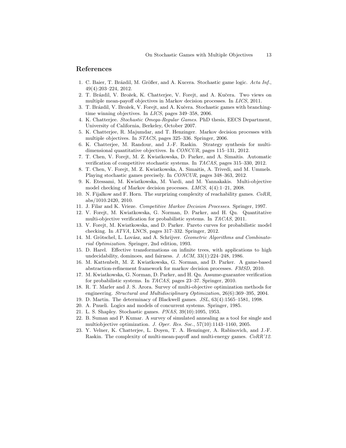## References

- <span id="page-12-15"></span>1. C. Baier, T. Brázdil, M. Größer, and A. Kucera. Stochastic game logic. Acta Inf., 49(4):203–224, 2012.
- <span id="page-12-12"></span>2. T. Brázdil, V. Brožek, K. Chatterjee, V. Forejt, and A. Kučera. Two views on multiple mean-payoff objectives in Markov decision processes. In LICS, 2011.
- <span id="page-12-14"></span>3. T. Brázdil, V. Brožek, V. Forejt, and A. Kučera. Stochastic games with branchingtime winning objectives. In LICS, pages 349–358, 2006.
- <span id="page-12-3"></span>4. K. Chatterjee. Stochastic Omega-Regular Games. PhD thesis, EECS Department, University of California, Berkeley, October 2007.
- <span id="page-12-6"></span>5. K. Chatterjee, R. Majumdar, and T. Henzinger. Markov decision processes with multiple objectives. In STACS, pages 325–336. Springer, 2006.
- <span id="page-12-9"></span>6. K. Chatterjee, M. Randour, and J.-F. Raskin. Strategy synthesis for multidimensional quantitative objectives. In CONCUR, pages 115–131, 2012.
- <span id="page-12-2"></span>7. T. Chen, V. Forejt, M. Z. Kwiatkowska, D. Parker, and A. Simaitis. Automatic verification of competitive stochastic systems. In TACAS, pages 315–330, 2012.
- <span id="page-12-11"></span>8. T. Chen, V. Forejt, M. Z. Kwiatkowska, A. Simaitis, A. Trivedi, and M. Ummels. Playing stochastic games precisely. In CONCUR, pages 348–363, 2012.
- <span id="page-12-7"></span>9. K. Etessami, M. Kwiatkowska, M. Vardi, and M. Yannakakis. Multi-objective model checking of Markov decision processes. LMCS, 4(4):1–21, 2008.
- <span id="page-12-20"></span>10. N. Fijalkow and F. Horn. The surprizing complexity of reachability games. CoRR, abs/1010.2420, 2010.
- <span id="page-12-21"></span>11. J. Filar and K. Vrieze. Competitive Markov Decision Processes. Springer, 1997.
- <span id="page-12-13"></span>12. V. Forejt, M. Kwiatkowska, G. Norman, D. Parker, and H. Qu. Quantitative multi-objective verification for probabilistic systems. In TACAS, 2011.
- <span id="page-12-17"></span>13. V. Forejt, M. Kwiatkowska, and D. Parker. Pareto curves for probabilistic model checking. In ATVA, LNCS, pages 317–332. Springer, 2012.
- <span id="page-12-22"></span>14. M. Grötschel, L. Lovász, and A. Schrijver. Geometric Algorithms and Combinatorial Optimization. Springer, 2nd edition, 1993.
- <span id="page-12-19"></span>15. D. Harel. Effective transformations on infinite trees, with applications to high undecidability, dominoes, and fairness. J. ACM, 33(1):224–248, 1986.
- <span id="page-12-1"></span>16. M. Kattenbelt, M. Z. Kwiatkowska, G. Norman, and D. Parker. A game-based abstraction-refinement framework for markov decision processes. FMSD, 2010.
- <span id="page-12-16"></span>17. M. Kwiatkowska, G. Norman, D. Parker, and H. Qu. Assume-guarantee verification for probabilistic systems. In TACAS, pages 23–37. Springer, 2010.
- <span id="page-12-5"></span>18. R. T. Marler and J. S. Arora. Survey of multi-objective optimization methods for engineering. Structural and Multidisciplinary Optimization, 26(6):369–395, 2004.
- <span id="page-12-18"></span>19. D. Martin. The determinacy of Blackwell games. JSL, 63(4):1565–1581, 1998.
- <span id="page-12-10"></span>20. A. Pnueli. Logics and models of concurrent systems. Springer, 1985.
- <span id="page-12-0"></span>21. L. S. Shapley. Stochastic games. PNAS, 39(10):1095, 1953.
- <span id="page-12-4"></span>22. B. Suman and P. Kumar. A survey of simulated annealing as a tool for single and multiobjective optimization. J. Oper. Res. Soc., 57(10):1143–1160, 2005.
- <span id="page-12-8"></span>23. Y. Velner, K. Chatterjee, L. Doyen, T. A. Henzinger, A. Rabinovich, and J.-F. Raskin. The complexity of multi-mean-payoff and multi-energy games. CoRR'12.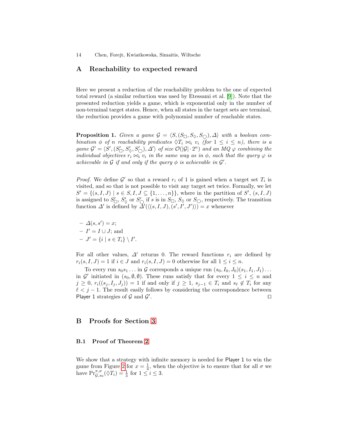## <span id="page-13-0"></span>A Reachability to expected reward

Here we present a reduction of the reachability problem to the one of expected total reward (a similar reduction was used by Etessami et al. [\[9\]](#page-12-7)). Note that the presented reduction yields a game, which is exponential only in the number of non-terminal target states. Hence, when all states in the target sets are terminal, the reduction provides a game with polynomial number of reachable states.

**Proposition 1.** Given a game  $\mathcal{G} = \langle S, (S_{\Box}, S_{\Diamond}, S_{\bigcirc}), \Delta \rangle$  with a boolean combination  $\phi$  of n reachability predicates  $\Diamond T_i \Join_i v_i$  (for  $1 \leq i \leq n$ ), there is a game  $\mathcal{G}' = \langle S', (S'_{\Box}, S'_{\Diamond}, S'_{\Box}), \Delta' \rangle$  of size  $\mathcal{O}(|\mathcal{G}| \cdot 2^n)$  and an  $MQ \varphi$  combining the individual objectives  $r_i \Join_i v_i$  in the same way as in  $\phi$ , such that the query  $\varphi$  is achievable in  $\mathcal G$  if and only if the query  $\phi$  is achievable in  $\mathcal G'$ .

*Proof.* We define  $\mathcal{G}'$  so that a reward  $r_i$  of 1 is gained when a target set  $T_i$  is visited, and so that is not possible to visit any target set twice. Formally, we let  $S' = \{(s, I, J) \mid s \in S, I, J \subseteq \{1, ..., n\}\}\$ , where in the partition of  $S'$ ,  $(s, I, J)$ is assigned to  $S'_{\Box}$ ,  $S'_{\Diamond}$  or  $S'_{\Box}$  if s is in  $S_{\Box}$ ,  $S_{\Diamond}$  or  $S_{\bigcirc}$ , respectively. The transition function  $\Delta'$  is defined by  $\overline{\Delta'(\langle (s, I, J), (s', I', J') \rangle)} = x$  whenever

$$
- \Delta(s, s') = x;
$$
  
- 
$$
I' = I \cup J; \text{ and } -J' = \{i \mid s \in T_i\} \setminus I
$$

 $\overline{\phantom{a}}$ .

For all other values,  $\Delta'$  returns 0. The reward functions  $r_i$  are defined by  $r_i(s, I, J) = 1$  if  $i \in J$  and  $r_i(s, I, J) = 0$  otherwise for all  $1 \leq i \leq n$ .

To every run  $s_0s_1 \ldots$  in G corresponds a unique run  $(s_0, I_0, J_0)(s_1, I_1, J_1) \ldots$ in  $\mathcal{G}'$  initiated in  $(s_0, \emptyset, \emptyset)$ . These runs satisfy that for every  $1 \leq i \leq n$  and  $j \geq 0$ ,  $r_i((s_j, I_j, J_j)) = 1$  if and only if  $j \geq 1$ ,  $s_{j-1} \in T_i$  and  $s_{\ell} \notin T_i$  for any  $\ell < j - 1$ . The result easily follows by considering the correspondence between Player 1 strategies of  $G$  and  $G'$ . The contract of the contract of  $\Box$ 

## B Proofs for Section [3](#page-6-3)

#### <span id="page-13-1"></span>B.1 Proof of Theorem [2](#page-6-2)

We show that a strategy with infinite memory is needed for Player 1 to win the game from Figure [2](#page-7-0) for  $x = \frac{1}{4}$ , when the objective is to ensure that for all  $\sigma$  we have  $\Pr_{\mathcal{G},s_0}^{\pi,\sigma}(\lozenge T_i) = \frac{1}{3}$  for  $1 \leq i \leq 3$ .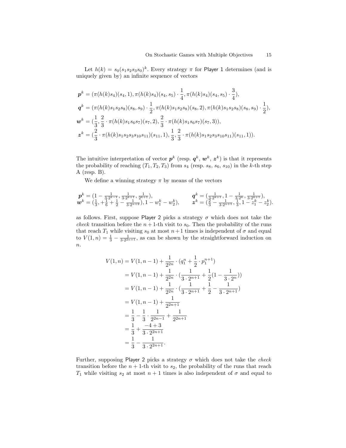Let  $h(k) = s_0(s_1s_2s_3s_0)^k$ . Every strategy  $\pi$  for Player 1 determines (and is uniquely given by) an infinite sequence of vectors

$$
\begin{split} \mathbf{p}^{k} &= (\pi(h(k)s_{4})(s_{4},1),\pi(h(k)s_{4})(s_{4},s_{5})\cdot\frac{1}{4},\pi(h(k)s_{4})(s_{4},s_{5})\cdot\frac{3}{4}),\\ \mathbf{q}^{k} &= (\pi(h(k)s_{1}s_{2}s_{8})(s_{8},s_{9})\cdot\frac{1}{2},\pi(h(k)s_{1}s_{2}s_{8})(s_{8},2),\pi(h(k)s_{1}s_{2}s_{8})(s_{8},s_{9})\cdot\frac{1}{2}),\\ \mathbf{w}^{k} &= (\frac{1}{3},\frac{2}{3}\cdot\pi(h(k)s_{1}s_{6}s_{7})(s_{7},2),\frac{2}{3}\cdot\pi(h(k)s_{1}s_{6}s_{7})(s_{7},3)),\\ \mathbf{z}^{k} &= (\frac{2}{3}\cdot\pi(h(k)s_{1}s_{2}s_{3}s_{10}s_{11})(s_{11},1),\frac{1}{3},\frac{2}{3}\cdot\pi(h(k)s_{1}s_{2}s_{3}s_{10}s_{11})(s_{11},1)). \end{split}
$$

The intuitive interpretation of vector  $p^k$  (resp.  $q^k, w^k, z^k$ ) is that it represents the probability of reaching  $(T_1, T_2, T_3)$  from  $s_4$  (resp.  $s_8$ ,  $s_6$ ,  $s_{10}$ ) in the k-th step A (resp. B).

We define a winning strategy  $\pi$  by means of the vectors

$$
\begin{array}{ll} \pmb p^k=(1-\frac{1}{3\cdot 2^{k-1}},\frac{1}{3\cdot 2^{k+1}},\frac{1}{2^{k+1}}), & \qquad \pmb q^k=(\frac{1}{3\cdot 2^{k+1}},1-\frac{1}{3\cdot 2^{k}},\frac{1}{3\cdot 2^{k+1}}),\\ \pmb w^k=(\frac{1}{3},+\frac{1}{6}+\frac{1}{2}-\frac{1}{3\cdot 2^{n+2}}),1-w_1^k-w_2^k), & \qquad \pmb z^k=(\frac{2}{3}-\frac{1}{3\cdot 2^{n+1}},\frac{1}{3},1-z_1^k-z_2^k). \end{array}
$$

as follows. First, suppose Player 2 picks a strategy  $\sigma$  which does not take the check transition before the  $n + 1$ -th visit to  $s_0$ . Then the probability of the runs that reach  $T_1$  while visiting  $s_0$  at most  $n+1$  times is independent of  $\sigma$  and equal to  $V(1,n) = \frac{1}{3} - \frac{1}{3 \cdot 2^{2n+1}}$ , as can be shown by the straightforward induction on  $\overline{n}$ .

$$
V(1, n) = V(1, n - 1) + \frac{1}{2^{2n}} \cdot (q_1^n + \frac{1}{2} \cdot p_1^{n+1})
$$
  
=  $V(1, n - 1) + \frac{1}{2^{2n}} \cdot (\frac{1}{3 \cdot 2^{n+1}} + \frac{1}{2}(1 - \frac{1}{3 \cdot 2^n}))$   
=  $V(1, n - 1) + \frac{1}{2^{2n}} \cdot (\frac{1}{3 \cdot 2^{n+1}} + \frac{1}{2} - \frac{1}{3 \cdot 2^{n+1}})$   
=  $V(1, n - 1) + \frac{1}{2^{2n+1}}$   
=  $\frac{1}{3} - \frac{1}{3} \cdot \frac{1}{2^{2n-1}} + \frac{1}{2^{2n+1}}$   
=  $\frac{1}{3} + \frac{-4 + 3}{3 \cdot 2^{2n+1}}$   
=  $\frac{1}{3} - \frac{1}{3 \cdot 2^{2n+1}}$ 

Further, supposing Player 2 picks a strategy  $\sigma$  which does not take the *check* transition before the  $n + 1$ -th visit to  $s_2$ , the probability of the runs that reach  $T_1$  while visiting  $s_2$  at most  $n + 1$  times is also independent of  $\sigma$  and equal to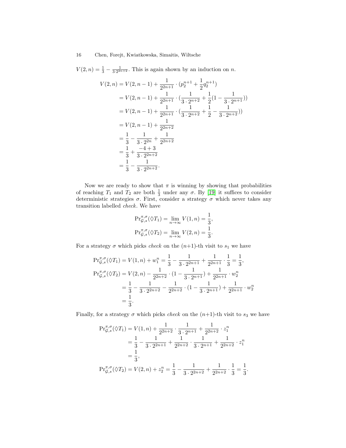$V(2, n) = \frac{1}{3} - \frac{1}{3 \cdot 2^{2n+2}}$ . This is again shown by an induction on n.

$$
V(2, n) = V(2, n - 1) + \frac{1}{2^{2n+1}} \cdot (p_2^{n+1} + \frac{1}{2}q_2^{n+1})
$$
  
=  $V(2, n - 1) + \frac{1}{2^{2n+1}} \cdot (\frac{1}{3 \cdot 2^{n+2}} + \frac{1}{2}(1 - \frac{1}{3 \cdot 2^{n+1}}))$   
=  $V(2, n - 1) + \frac{1}{2^{2n+1}} \cdot (\frac{1}{3 \cdot 2^{n+2}} + \frac{1}{2} - \frac{1}{3 \cdot 2^{n+2}}))$   
=  $V(2, n - 1) + \frac{1}{2^{2n+2}}$   
=  $\frac{1}{3} - \frac{1}{3 \cdot 2^{2n}} + \frac{1}{2^{2n+2}}$   
=  $\frac{1}{3} + \frac{-4 + 3}{3 \cdot 2^{2n+2}}$   
=  $\frac{1}{3} - \frac{1}{3 \cdot 2^{2n+2}}$ .

Now we are ready to show that  $\pi$  is winning by showing that probabilities of reaching  $T_1$  and  $T_2$  are both  $\frac{1}{3}$  under any  $\sigma$ . By [\[19\]](#page-12-18) it suffices to consider deterministic strategies  $\sigma$ . First, consider a strategy  $\sigma$  which never takes any transition labelled check. We have

$$
\Pr_{\mathcal{G},s}^{\pi,\sigma}(\lozenge T_1) = \lim_{n \to \infty} V(1,n) = \frac{1}{3},
$$
  

$$
\Pr_{\mathcal{G},s}^{\pi,\sigma}(\lozenge T_2) = \lim_{n \to \infty} V(2,n) = \frac{1}{3}.
$$

For a strategy  $\sigma$  which picks *check* on the  $(n+1)$ -th visit to  $s_1$  we have

$$
\begin{split} \Pr_{\mathcal{G},s}^{\pi,\sigma}(\lozenge T_1) &= V(1,n) + w_1^n = \frac{1}{3} - \frac{1}{3 \cdot 2^{2n+1}} + \frac{1}{2^{2n+1}} \cdot \frac{1}{3} = \frac{1}{3}, \\ \Pr_{\mathcal{G},s}^{\pi,\sigma}(\lozenge T_2) &= V(2,n) - \frac{1}{2^{2n+2}} \cdot (1 - \frac{1}{3 \cdot 2^{n+1}}) + \frac{1}{2^{2n+1}} \cdot w_2^n \\ &= \frac{1}{3} - \frac{1}{3 \cdot 2^{2n+2}} - \frac{1}{2^{2n+2}} \cdot (1 - \frac{1}{3 \cdot 2^{n+1}}) + \frac{1}{2^{2n+1}} \cdot w_2^n \\ &= \frac{1}{3}. \end{split}
$$

Finally, for a strategy  $\sigma$  which picks *check* on the  $(n+1)$ -th visit to  $s_3$  we have

$$
\begin{split} \Pr_{\mathcal{G},s}^{\pi,\sigma}(\lozenge T_1) &= V(1,n) + \frac{1}{2^{2n+2}} \cdot \frac{1}{3 \cdot 2^{n+1}} + \frac{1}{2^{2n+2}} \cdot z_1^n \\ &= \frac{1}{3} - \frac{1}{3 \cdot 2^{2n+1}} + \frac{1}{2^{2n+2}} \cdot \frac{1}{3 \cdot 2^{n+1}} + \frac{1}{2^{2n+2}} \cdot z_1^n \\ &= \frac{1}{3}, \\ \Pr_{\mathcal{G},s}^{\pi,\sigma}(\lozenge T_2) &= V(2,n) + z_2^n = \frac{1}{3} - \frac{1}{3 \cdot 2^{2n+2}} + \frac{1}{2^{2n+2}} \cdot \frac{1}{3} = \frac{1}{3} \end{split}
$$

.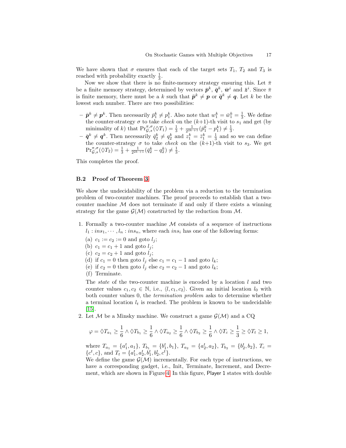We have shown that  $\sigma$  ensures that each of the target sets  $T_1$ ,  $T_2$  and  $T_3$  is reached with probability exactly  $\frac{1}{3}$ .

Now we show that there is no finite-memory strategy ensuring this. Let  $\bar{\pi}$ be a finite memory strategy, determined by vectors  $\bar{\mathbf{p}}^k$ ,  $\bar{\mathbf{q}}^k$ ,  $\bar{\mathbf{w}}^i$  and  $\bar{\mathbf{z}}^i$ . Since  $\bar{\pi}$ is finite memory, there must be a k such that  $\bar{p}^k \neq p$  or  $\bar{q}^k \neq q$ . Let k be the lowest such number. There are two possibilities:

- $-\bar{p}^k \neq p^k$ . Then necessarily  $\bar{p}_1^k \neq p_1^k$ . Also note that  $w_1^k = \bar{w}_1^k = \frac{1}{3}$ . We define the counter-strategy  $\sigma$  to take *check* on the  $(k+1)$ -th visit to  $s_1$  and get (by minimality of k) that  $\Pr_{\mathcal{G},s}^{\pi,\sigma}(\lozenge T_1) = \frac{1}{3} + \frac{1}{2^{2k+1}}(\bar{p}_1^k - p_1^k) \neq \frac{1}{3}$ .
- $-\bar{\mathbf{q}}^k \neq \mathbf{q}^k$ . Then necessarily  $\bar{q}_2^k \neq q_2^k$  and  $z_1^k = \bar{z}_1^k = \frac{1}{3}$  and so we can define the counter-strategy  $\sigma$  to take *check* on the  $(k+1)$ -th visit to  $s_3$ . We get  $\Pr_{\mathcal{G},s}^{\pi,\sigma}(\lozenge T_2) = \frac{1}{3} + \frac{1}{2^{2k+1}} (\bar{q}_2^k - q_2^k) \neq \frac{1}{3}.$

This completes the proof.

#### <span id="page-16-0"></span>B.2 Proof of Theorem [3](#page-7-1)

We show the undecidability of the problem via a reduction to the termination problem of two-counter machines. The proof proceeds to establish that a twocounter machine  $\mathcal M$  does not terminate if and only if there exists a winning strategy for the game  $\mathcal{G}(\mathcal{M})$  constructed by the reduction from  $\mathcal{M}$ .

- 1. Formally a two-counter machine  $M$  consists of a sequence of instructions  $l_1 : ins_1, \dots, l_n : ins_n$ , where each  $ins_i$  has one of the following forms:
	- (a)  $c_1 := c_2 := 0$  and goto  $l_i$ ;
	- (b)  $c_1 = c_1 + 1$  and goto  $l_j$ ;
	- (c)  $c_2 = c_2 + 1$  and goto  $l_j$ ;
	- (d) if  $c_1 = 0$  then goto  $l_j$  else  $c_1 = c_1 1$  and goto  $l_k$ ;
	- (e) if  $c_2 = 0$  then goto  $l_j$  else  $c_2 = c_2 1$  and goto  $l_k$ ;
	- (f) Terminate.

The *state* of the two-counter machine is encoded by a location  $l$  and two counter values  $c_1, c_2 \in \mathbb{N}$ , i.e.,  $\langle l, c_1, c_2 \rangle$ . Given an initial location  $l_0$  with both counter values 0, the termination problem asks to determine whether a terminal location  $l_t$  is reached. The problem is known to be undecidable [\[15\]](#page-12-19).

2. Let M be a Minsky machine. We construct a game  $\mathcal{G}(\mathcal{M})$  and a CQ

$$
\varphi = \Diamond T_{a_1} \geq \frac{1}{6} \land \Diamond T_{b_1} \geq \frac{1}{6} \land \Diamond T_{a_2} \geq \frac{1}{6} \land \Diamond T_{b_2} \geq \frac{1}{6} \land \Diamond T_c \geq \frac{1}{3} \geq \Diamond T_t \geq 1,
$$

where  $T_{a_1} = \{a_1^t, a_1\}, T_{b_1} = \{b_1^t, b_1\}, T_{a_2} = \{a_2^t, a_2\}, T_{b_2} = \{b_2^t, b_2\}, T_c =$  ${c^t, c}$ , and  $T_t = {a_1^t, a_2^t, b_1^t, b_2^t, c^t}$ .

We define the game  $\mathcal{G}(\mathcal{M})$  incrementally. For each type of instructions, we have a corresponding gadget, i.e., Init, Terminate, Increment, and Decrement, which are shown in Figure [4.](#page-17-0) In this figure, Player 1 states with double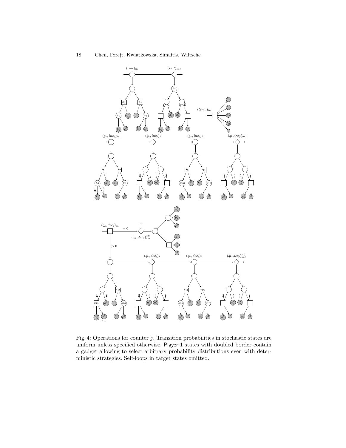<span id="page-17-0"></span>

Fig. 4: Operations for counter  $j$ . Transition probabilities in stochastic states are uniform unless specified otherwise. Player 1 states with doubled border contain a gadget allowing to select arbitrary probability distributions even with deterministic strategies. Self-loops in target states omitted.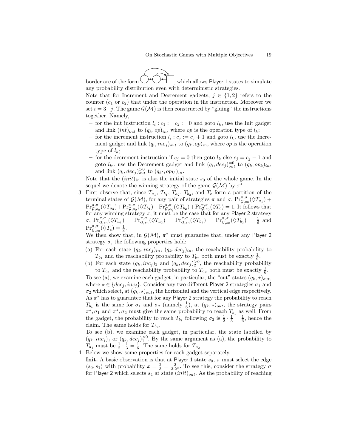border are of the form  $\bigcup$   $\bigcup$   $\bigcup$ , which allows Player 1 states to simulate any probability distribution even with deterministic strategies.

Note that for Increment and Decrement gadgets,  $j \in \{1, 2\}$  refers to the counter  $(c_1 \text{ or } c_2)$  that under the operation in the instruction. Moreover we set  $i = 3-j$ . The game  $\mathcal{G}(\mathcal{M})$  is then constructed by "gluing" the instructions together. Namely,

- for the init instruction  $l_i : c_1 := c_2 := 0$  and goto  $l_k$ , use the Init gadget and link  $(int)_{out}$  to  $(q_k, op)_{in}$ , where *op* is the operation type of  $l_k$ ;
- for the increment instruction  $l_i : c_j := c_j + 1$  and goto  $l_k$ , use the Increment gadget and link  $(q_i, inc_j)_{out}$  to  $(q_k, op)_{in}$ , where *op* is the operation type of  $l_k$ ;
- for the decrement instruction if  $c_j = 0$  then goto  $l_k$  else  $c_j = c_j 1$  and goto  $l_{k'}$ , use the Decrement gadget and link  $(q_i, dec_j)_{out}^{-0}$  to  $(q_k, op_k)_{in}$ , and link  $(q_i, dec_j)_{out}^{>0}$  to  $(q_{k'}, op_{k'})_{in}$ .

Note that the  $(init)_{in}$  is also the initial state  $s_0$  of the whole game. In the sequel we denote the winning strategy of the game  $\mathcal{G}(\mathcal{M})$  by  $\pi^*$ .

3. First observe that, since  $T_{a_1}, T_{b_1}, T_{a_2}, T_{b_2}$ , and  $T_c$  form a partition of the terminal states of  $\mathcal{G}(\mathcal{M})$ , for any pair of strategies  $\pi$  and  $\sigma$ ,  $Pr_{\mathcal{G},s_0}^{\pi,\sigma}(\Diamond T_{a_1})$  +  $\Pr_{\mathcal{G},s_0}^{\pi,\sigma}(\Diamond T_{a_2}) + \Pr_{\mathcal{G},s_0}^{\pi,\sigma}(\Diamond T_{b_1}) + \Pr_{\mathcal{G},s_0}^{\pi,\sigma}(\Diamond T_{b_2}) + \Pr_{\mathcal{G},s_0}^{\pi,\sigma}(\Diamond T_{c}) = 1.$  It follows that for any winning strategy  $\pi$ , it must be the case that for any Player 2 strategy  $\sigma, \ \Pr_{\mathcal{G},s_0}^{\pi,\sigma}(\lozenge T_{a_1}) \ = \ \Pr_{\mathcal{G},s_0}^{\pi,\sigma}(\lozenge T_{a_2}) \ = \ \Pr_{\mathcal{G},s_0}^{\pi,\sigma}(\lozenge T_{b_1}) \ = \ \Pr_{\mathcal{G},s_0}^{\pi,\sigma}(\lozenge T_{b_2}) \ = \ \frac{1}{6} \ \ \mathrm{and}$  $\mathrm{Pr}^{\pi,\sigma}_{\mathcal{G},s_0}(\lozenge T_c) = \frac{1}{3}.$ 

We then show that, in  $G(\mathcal{M})$ ,  $\pi^*$  must guarantee that, under any Player 2 strategy  $\sigma$ , the following properties hold:

- (a) For each state  $(q_k, inc_j)_i$ ,  $(q_k, dec_j)_i$ , the reachability probability to  $T_{b_1}$  and the reachability probability to  $T_{b_2}$  both must be exactly  $\frac{1}{6}$ .
- (b) For each state  $(q_k, inc_j)_2$  and  $(q_k, dec_j)_2^{>0}$ , the reachability probability to  $T_{a_1}$  and the reachability probability to  $T_{a_2}$  both must be exactly  $\frac{1}{6}$ .

To see (a), we examine each gadget, in particular, the "out" states  $(q_k, \star)_{out}$ , where  $\star \in \{dec_j, inc_j\}$ . Consider any two different Player 2 strategies  $\sigma_1$  and  $\sigma_2$  which select, at  $(q_k, \star)_{out}$ , the horizontal and the vertical edge respectively. As  $\pi^*$  has to guarantee that for any Player 2 strategy the probability to reach  $T_{b_1}$  is the same for  $\sigma_1$  and  $\sigma_2$  (namely  $\frac{1}{6}$ ), at  $(q_k, \star)_{out}$ , the strategy pairs  $\pi^*, \sigma_1$  and  $\pi^*, \sigma_2$  must give the same probability to reach  $T_{b_1}$  as well. From the gadget, the probability to reach  $T_{b_1}$  following  $\sigma_2$  is  $\frac{1}{2} \cdot \frac{1}{3} = \frac{1}{6}$ , hence the claim. The same holds for  $T_{b_2}$ .

To see (b), we examine each gadget, in particular, the state labelled by  $(q_k, inc_j)_1$  or  $(q_k, dec_j)_1^{>0}$ . By the same argument as (a), the probability to  $T_{a_1}$  must be  $\frac{1}{2} \cdot \frac{1}{3} = \frac{1}{6}$ . The same holds for  $T_{a_2}$ .

4. Below we show some properties for each gadget separately.

**Init.** A basic observation is that at Player 1 state  $s_0$ ,  $\pi$  must select the edge  $\langle s_0, s_1 \rangle$  with probability  $x = \frac{2}{3} = \frac{2}{3 \cdot 2^0}$ . To see this, consider the strategy  $\sigma$ for Player 2 which selects  $s_4$  at state  $(init)_{out}$ . As the probability of reaching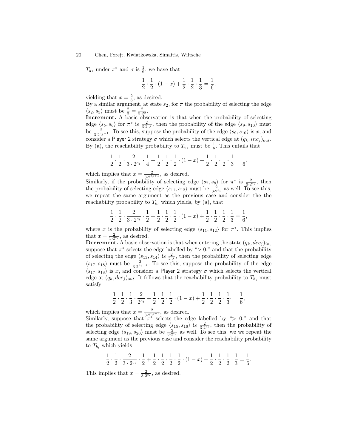$T_{a_1}$  under  $\pi^*$  and  $\sigma$  is  $\frac{1}{6}$ , we have that

$$
\frac{1}{2} \cdot \frac{1}{2} \cdot (1-x) + \frac{1}{2} \cdot \frac{1}{2} \cdot \frac{1}{3} = \frac{1}{6},
$$

yielding that  $x = \frac{2}{3}$ , as desired.

By a similar argument, at state  $s_2$ , for  $\pi$  the probability of selecting the edge  $\langle s_2, s_3 \rangle$  must be  $\frac{2}{3} = \frac{2}{3 \cdot 2^0}$ .

Increment. A basic observation is that when the probability of selecting edge  $\langle s_5, s_6 \rangle$  for  $\pi^*$  is  $\frac{2}{3 \cdot 2^{c_j}}$ , then the probability of the edge  $\langle s_9, s_{10} \rangle$  must be  $\frac{2}{3 \cdot 2^{c_j+1}}$ . To see this, suppose the probability of the edge  $\langle s_9, s_{10} \rangle$  is x, and consider a Player 2 strategy  $\sigma$  which selects the vertical edge at  $(q_k, inc_j)_{out}$ . By (a), the reachability probability to  $T_{b_j}$  must be  $\frac{1}{6}$ . This entails that

$$
\frac{1}{2} \cdot \frac{1}{2} \cdot \frac{2}{3 \cdot 2^{c_j}} \cdot \frac{1}{4} + \frac{1}{2} \cdot \frac{1}{2} \cdot \frac{1}{2} \cdot (1 - x) + \frac{1}{2} \cdot \frac{1}{2} \cdot \frac{1}{2} \cdot \frac{1}{3} = \frac{1}{6},
$$

which implies that  $x = \frac{2}{3.2^{c}}$  $\frac{2}{3\cdot2^{c_j+1}}$ , as desired.

Similarly, if the probability of selecting edge  $\langle s_7, s_8 \rangle$  for  $\pi^*$  is  $\frac{2}{3 \cdot 2^{c_i}}$ , then the probability of selecting edge  $\langle s_{11}, s_{12} \rangle$  must be  $\frac{2}{3 \cdot 2^{c_i}}$  as well. To see this, we repeat the same argument as the previous case and consider the the reachability probability to  $T_{b_i}$  which yields, by (a), that

$$
\frac{1}{2} \cdot \frac{1}{2} \cdot \frac{2}{3 \cdot 2^{c_i}} \cdot \frac{1}{2} + \frac{1}{2} \cdot \frac{1}{2} \cdot \frac{1}{2} \cdot (1 - x) + \frac{1}{2} \cdot \frac{1}{2} \cdot \frac{1}{2} \cdot \frac{1}{3} = \frac{1}{6},
$$

where x is the probability of selecting edge  $\langle s_{11}, s_{12} \rangle$  for  $\pi^*$ . This implies that  $x = \frac{2}{3 \cdot 2^{c_i}}$ , as desired.

**Decrement.** A basic observation is that when entering the state  $(q_k, dec_j)_{in}$ , suppose that  $\pi^*$  selects the edge labelled by " $> 0$ ," and that the probability of selecting the edge  $\langle s_{13}, s_{14} \rangle$  is  $\frac{2}{2^{c_j}}$ , then the probability of selecting edge  $\langle s_{17}, s_{18} \rangle$  must be  $\frac{2}{3 \cdot 2^{c_j-1}}$ . To see this, suppose the probability of the edge  $\langle s_{17}, s_{18} \rangle$  is x, and consider a Player 2 strategy  $\sigma$  which selects the vertical edge at  $(q_k, dec_j)_{out}$ . It follows that the reachability probability to  $T_{b_i}$  must satisfy

$$
\frac{1}{2} \cdot \frac{1}{2} \cdot \frac{1}{3} \cdot \frac{2}{2^{c_j}} + \frac{1}{2} \cdot \frac{1}{2} \cdot \frac{1}{2} \cdot (1-x) + \frac{1}{2} \cdot \frac{1}{2} \cdot \frac{1}{2} \cdot \frac{1}{3} = \frac{1}{6},
$$

which implies that  $x = \frac{2}{3 \pi^c}$  $\frac{2}{3\cdot 2^{c_j-1}}$ , as desired.

Similarly, suppose that  $\pi^{3/2}$  selects the edge labelled by "> 0," and that the probability of selecting edge  $\langle s_{15}, s_{16} \rangle$  is  $\frac{2}{3 \cdot 2^{c_i}}$ , then the probability of selecting edge  $\langle s_{19}, s_{20} \rangle$  must be  $\frac{2}{3 \cdot 2^{c_i}}$  as well. To see this, we we repeat the same argument as the previous case and consider the reachability probability to  $\mathcal{T}_{b_i}$  which yields

$$
\frac{1}{2} \cdot \frac{1}{2} \cdot \frac{2}{3 \cdot 2^{c_i}} \cdot \frac{1}{2} + \frac{1}{2} \cdot \frac{1}{2} \cdot \frac{1}{2} \cdot \frac{1}{2} \cdot (1 - x) + \frac{1}{2} \cdot \frac{1}{2} \cdot \frac{1}{2} \cdot \frac{1}{3} = \frac{1}{6}
$$

.

This implies that  $x = \frac{2}{3 \cdot 2^{c_i}}$ , as desired.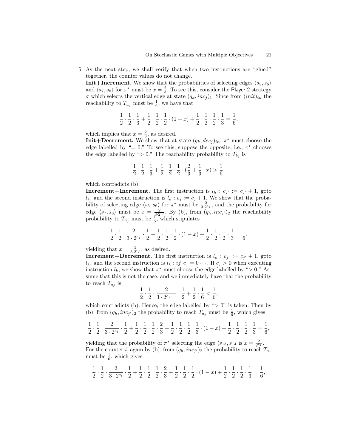5. As the next step, we shall verify that when two instructions are "glued" together, the counter values do not change.

**Init+Increment.** We show that the probabilities of selecting edges  $\langle s_5, s_6 \rangle$ and  $\langle s_7, s_8 \rangle$  for  $\pi^*$  must be  $x = \frac{2}{3}$ . To see this, consider the Player 2 strategy  $\sigma$  which selects the vertical edge at state  $(q_k, inc_j)_1$ . Since from  $(init)_{in}$  the reachability to  $T_{a_j}$  must be  $\frac{1}{6}$ , we have that

$$
\frac{1}{2} \cdot \frac{1}{2} \cdot \frac{1}{3} + \frac{1}{2} \cdot \frac{1}{2} \cdot \frac{1}{2} \cdot (1 - x) + \frac{1}{2} \cdot \frac{1}{2} \cdot \frac{1}{2} \cdot \frac{1}{3} = \frac{1}{6},
$$

which implies that  $x = \frac{2}{3}$ , as desired.

**Init**+Decrement. We show that at state  $(q_k, dec_j)_{in}$ ,  $\pi^*$  must choose the edge labelled by "=  $0$ ." To see this, suppose the opposite, i.e.,  $\pi^*$  chooses the edge labelled by " $> 0$ ." The reachability probability to  $T_{b_j}$  is

$$
\frac{1}{2} \cdot \frac{1}{2} \cdot \frac{1}{3} + \frac{1}{2} \cdot \frac{1}{2} \cdot \frac{1}{2} \cdot (\frac{2}{3} + \frac{1}{3} \cdot x) > \frac{1}{6},
$$

which contradicts (b).

**Increment+Increment.** The first instruction is  $l_h : c_{j'} := c_{j'} + 1$ , goto  $l_k$ , and the second instruction is  $l_k : c_j := c_j + 1$ . We show that the probability of selecting edge  $\langle s_5, s_6 \rangle$  for  $\pi^*$  must be  $\frac{2}{3 \cdot 2^{c_j}}$ , and the probability for edge  $\langle s_7, s_8 \rangle$  must be  $x = \frac{2}{3 \cdot 2^{c_i}}$ . By (b), from  $(q_h, inc_{j'})_2$  the reachability probability to  $T_{a_j}$  must be  $\frac{1}{6}$ , which stipulates

$$
\frac{1}{2} \cdot \frac{1}{2} \cdot \frac{2}{3 \cdot 2^{c_j}} \cdot \frac{1}{2} + \frac{1}{2} \cdot \frac{1}{2} \cdot \frac{1}{2} \cdot (1 - x) + \frac{1}{2} \cdot \frac{1}{2} \cdot \frac{1}{2} \cdot \frac{1}{3} = \frac{1}{6},
$$

yielding that  $x = \frac{2}{3 \cdot 2^{c_j}}$ , as desired.

**Increment+Decrement.** The first instruction is  $l_h : c_{j'} := c_{j'} + 1$ , goto  $l_k$ , and the second instruction is  $l_k : if \ c_j = 0 \cdots$ . If  $c_j > 0$  when executing instruction  $l_k$ , we show that  $\pi^*$  must choose the edge labelled by "> 0." Assume that this is not the case, and we immediately have that the probability to reach  $T_{a_j}$  is

$$
\frac{1}{2} \cdot \frac{1}{2} \cdot \frac{2}{3 \cdot 2^{c_j+1}} \cdot \frac{1}{2} + \frac{1}{2} \cdot \frac{1}{6} < \frac{1}{6},
$$

which contradicts (b). Hence, the edge labelled by " $> 0$ " is taken. Then by (b), from  $(q_h, inc_{j'})_2$  the probability to reach  $T_{a_j}$  must be  $\frac{1}{6}$ , which gives

$$
\frac{1}{2}\cdot \frac{1}{2}\cdot \frac{2}{3\cdot 2^{c_j}}\cdot \frac{1}{2}+\frac{1}{2}\cdot \frac{1}{2}\cdot \frac{1}{2}\cdot \frac{2}{3}+\frac{1}{2}\cdot \frac{1}{2}\cdot \frac{1}{2}\cdot \frac{1}{3}\cdot (1-x)+\frac{1}{2}\cdot \frac{1}{2}\cdot \frac{1}{2}\cdot \frac{1}{3}=\frac{1}{6},
$$

yielding that the probability of  $\pi^*$  selecting the edge  $\langle s_{13}, s_{14} \rangle$  is  $x = \frac{2}{2^{c_j}}$ . For the counter *i*, again by (b), from  $(q_h, inc_{j'})_2$  the probability to reach  $T_{a_j}$ must be  $\frac{1}{6}$ , which gives

$$
\frac{1}{2} \cdot \frac{1}{2} \cdot \frac{2}{3 \cdot 2^{c_i}} \cdot \frac{1}{2} + \frac{1}{2} \cdot \frac{1}{2} \cdot \frac{1}{2} \cdot \frac{2}{3} + \frac{1}{2} \cdot \frac{1}{2} \cdot \frac{1}{2} \cdot (1 - x) + \frac{1}{2} \cdot \frac{1}{2} \cdot \frac{1}{2} \cdot \frac{1}{3} = \frac{1}{6},
$$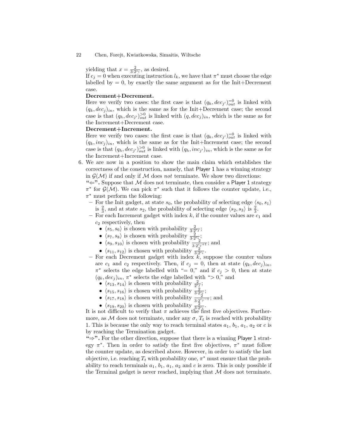yielding that  $x = \frac{2}{3 \cdot 2^{c_i}}$ , as desired.

If  $c_j = 0$  when executing instruction  $l_k$ , we have that  $\pi^*$  must choose the edge labelled by  $= 0$ , by exactly the same argument as for the Init+Decrement case.

#### Decrement+Decrement.

Here we verify two cases: the first case is that  $(q_h, dec_j)_{out}^{=0}$  is linked with  $(q_k, dec_j)_{in}$ , which is the same as for the Init+Decrement case; the second case is that  $(q_h, dec_{j'})_{out}^{>0}$  is linked with  $(q, dec_j)_{in}$ , which is the same as for the Increment+Decrement case.

#### Decrement+Increment.

Here we verify two cases: the first case is that  $(q_h, dec_j)_{out}^{-0}$  is linked with  $(q_k, inc_j)_{in}$ , which is the same as for the Init+Increment case; the second case is that  $(q_h, dec_{j'})_{out}^{>0}$  is linked with  $(q_h, inc_{j'})_{in}$ , which is the same as for the Increment+Increment case.

- 6. We are now in a position to show the main claim which establishes the correctness of the construction, namely, that Player 1 has a winning strategy in  $\mathcal{G}(\mathcal{M})$  if and only if M does not terminate. We show two directions:
	- " $\Leftarrow$ ". Suppose that M does not terminate, then consider a Player 1 strategy  $\pi^*$  for  $\mathcal{G}(\mathcal{M})$ . We can pick  $\pi^*$  such that it follows the counter update, i.e.,  $\pi^*$  must perform the following:
	- For the Init gadget, at state  $s_0$ , the probability of selecting edge  $\langle s_0, s_1 \rangle$ is  $\frac{2}{3}$ , and at state  $s_2$ , the probability of selecting edge  $\langle s_2, s_3 \rangle$  is  $\frac{2}{3}$ .
	- For each Increment gadget with index  $k$ , if the counter values are  $c_1$  and  $c_2$  respectively, then
		- $\langle s_5, s_6 \rangle$  is chosen with probability  $\frac{2}{3 \cdot 2^{c_j}}$ ;
		- $\langle s_7, s_8 \rangle$  is chosen with probability  $\frac{2}{3 \cdot 2^{c_i}}$ ;
		- $\langle s_9, s_{10} \rangle$  is chosen with probability  $\frac{2}{3 \cdot 2^{c_j+1}}$ ; and
		- $\langle s_{11}, s_{12} \rangle$  is chosen with probability  $\frac{2}{3 \cdot 2^{c_i}}$ .
	- For each Decrement gadget with index  $\overline{k}$ , suppose the counter values are  $c_1$  and  $c_2$  respectively. Then, if  $c_j = 0$ , then at state  $(q_k, dec_j)_{in}$ ,  $\pi^*$  selects the edge labelled with "= 0," and if  $c_j > 0$ , then at state  $(q_k, dec_j)_i$ ,  $\pi^*$  selects the edge labelled with "> 0," and
		- $\bullet$   $\langle s_{13}, s_{14} \rangle$  is chosen with probability  $\frac{2}{2^{c_j}}$ ;
		- $\langle s_{15}, s_{16} \rangle$  is chosen with probability  $\frac{2}{3 \cdot 2^{c_i}_{\zeta}}$ ;
		- $\langle s_{17}, s_{18} \rangle$  is chosen with probability  $\frac{2}{3 \cdot 2^{c_j-1}}$ ; and
		- $\langle s_{19}, s_{20} \rangle$  is chosen with probability  $\frac{2}{3 \cdot 2^{c_i}}$ .

It is not difficult to verify that  $\pi$  achieves the first five objectives. Furthermore, as M does not terminate, under any  $\sigma$ ,  $T_t$  is reached with probability 1. This is because the only way to reach terminal states  $a_1, b_1, a_1, a_2$  or c is by reaching the Termination gadget.

"⇒". For the other direction, suppose that there is a winning Player 1 strategy  $\pi^*$ . Then in order to satisfy the first five objectives,  $\pi^*$  must follow the counter update, as described above. However, in order to satisfy the last objective, i.e. reaching  $T_t$  with probability one,  $\pi^*$  must ensure that the probability to reach terminals  $a_1, b_1, a_1, a_2$  and c is zero. This is only possible if the Terminal gadget is never reached, implying that  $\mathcal M$  does not terminate.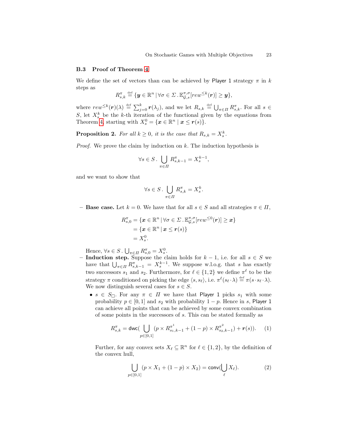#### <span id="page-22-0"></span>B.3 Proof of Theorem [4](#page-8-1)

We define the set of vectors than can be achieved by Player 1 strategy  $\pi$  in k steps as

$$
R_{s,k}^{\pi} \stackrel{\text{def}}{=} \{ \boldsymbol{y} \in \mathbb{R}^n \, | \, \forall \sigma \in \Sigma \, . \, \mathbb{E}_{\mathcal{G},s}^{\pi,\sigma} [rew^{\leq k}(\boldsymbol{r})] \geq \boldsymbol{y} \},
$$

where  $rew^{\leq k}(r)(\lambda) \stackrel{\text{def}}{=} \sum_{j=0}^{k} r(\lambda_j)$ , and we let  $R_{s,k} \stackrel{\text{def}}{=} \bigcup_{\pi \in \Pi} R_{s,k}^{\pi}$ . For all  $s \in$ S, let  $X_s^k$  be the k-th iteration of the functional given by the equations from Theorem [4,](#page-8-1) starting with  $X_s^0 = \{ \boldsymbol{x} \in \mathbb{R}^n \mid \boldsymbol{x} \leq \boldsymbol{r}(s) \}.$ 

<span id="page-22-1"></span>**Proposition 2.** For all  $k \geq 0$ , it is the case that  $R_{s,k} = X_s^k$ .

*Proof.* We prove the claim by induction on  $k$ . The induction hypothesis is

$$
\forall s \in S. \bigcup_{\pi \in \Pi} R_{s,k-1}^{\pi} = X_s^{k-1},
$$

and we want to show that

$$
\forall s \in S \, . \, \bigcup_{\pi \in \Pi} R_{s,k}^{\pi} = X_s^k.
$$

– **Base case.** Let  $k = 0$ . We have that for all  $s \in S$  and all strategies  $\pi \in \Pi$ ,

$$
R_{s,0}^{\pi} = \{ \boldsymbol{x} \in \mathbb{R}^n \, | \, \forall \sigma \in \Sigma \cdot \mathbb{E}_{\mathcal{G},s}^{\pi,\sigma}[rew^{\leq 0}(\boldsymbol{r})] \geq \boldsymbol{x} \} \\
= \{ \boldsymbol{x} \in \mathbb{R}^n \, | \, \boldsymbol{x} \leq \boldsymbol{r}(s) \} \\
= X_s^0.
$$

Hence,  $\forall s \in S$ .  $\bigcup_{\pi \in \Pi} R_{s,0}^{\pi} = X_s^0$ .

- Induction step. Suppose the claim holds for  $k-1$ , i.e. for all  $s \in S$  we have that  $\bigcup_{\pi \in \Pi} R_{s,k-1}^{\pi} = X_s^{k-1}$ . We suppose w.l.o.g. that s has exactly two successors  $s_1$  and  $s_2$ . Furthermore, for  $\ell \in \{1, 2\}$  we define  $\pi^{\ell}$  to be the strategy  $\pi$  conditioned on picking the edge  $\langle s, s_{\ell} \rangle$ , i.e.  $\pi^{\ell}(s_{\ell} \cdot \lambda) \stackrel{\text{def}}{=} \pi(s \cdot s_{\ell} \cdot \lambda)$ . We now distinguish several cases for  $s \in S$ .
	- $s \in S_{\Box}$ . For any  $\pi \in \Pi$  we have that Player 1 picks  $s_1$  with some probability  $p \in [0, 1]$  and  $s_2$  with probability  $1 - p$ . Hence in s, Player 1 can achieve all points that can be achieved by some convex combination of some points in the successors of s. This can be stated formally as

$$
R_{s,k}^{\pi} = \text{dwc}(\bigcup_{p \in [0,1]} (p \times R_{s_1,k-1}^{\pi^1} + (1-p) \times R_{s_2,k-1}^{\pi^2}) + \mathbf{r}(s)). \tag{1}
$$

Further, for any convex sets  $X_{\ell} \subseteq \mathbb{R}^n$  for  $\ell \in \{1, 2\}$ , by the definition of the convex hull,

<span id="page-22-3"></span><span id="page-22-2"></span>
$$
\bigcup_{p \in [0,1]} (p \times X_1 + (1-p) \times X_2) = \text{conv}(\bigcup_{\ell} X_{\ell}). \tag{2}
$$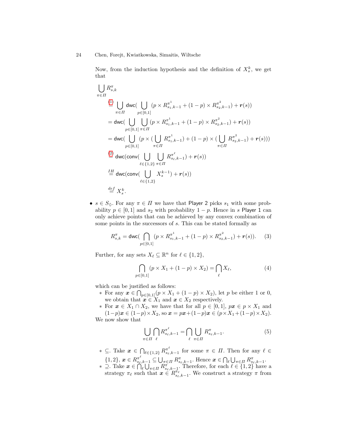Now, from the induction hypothesis and the definition of  $X_s^k$ , we get that

$$
\bigcup_{\pi \in \Pi} R_{s,k}^{\pi}
$$
\n
$$
\stackrel{(1)}{=} \bigcup_{\pi \in \Pi} \text{dwc} \big( \bigcup_{p \in [0,1]} (p \times R_{s_1,k-1}^{\pi^1} + (1-p) \times R_{s_2,k-1}^{\pi^2}) + r(s) \big)
$$
\n
$$
= \text{dwc} \big( \bigcup_{p \in [0,1]} \bigcup_{\pi \in \Pi} (p \times R_{s_1,k-1}^{\pi^1} + (1-p) \times R_{s_2,k-1}^{\pi^2}) + r(s) \big)
$$
\n
$$
= \text{dwc} \big( \bigcup_{p \in [0,1]} (p \times (\bigcup_{\pi \in \Pi} R_{s_1,k-1}^{\pi^1}) + (1-p) \times (\bigcup_{\pi \in \Pi} R_{s_2,k-1}^{\pi^2}) + r(s)) \big)
$$
\n
$$
\stackrel{(2)}{=} \text{dwc} \big( \text{conv} \bigcup_{\ell \in \{1,2\}} \bigcup_{\pi \in \Pi} R_{s_\ell,k-1}^{\pi^\ell} \big) + r(s) \big)
$$
\n
$$
\stackrel{\text{IH}}{=} \text{dwc} \big( \text{conv} \bigcup_{\ell \in \{1,2\}} X_s^{k-1} \big) + r(s) \big)
$$
\n
$$
\stackrel{\text{def}}{=} X_s^k.
$$

•  $s \in S_{\lozenge}$ . For any  $\pi \in \Pi$  we have that Player 2 picks  $s_1$  with some probability  $p \in [0, 1]$  and  $s_2$  with probability  $1 - p$ . Hence in s Player 1 can only achieve points that can be achieved by any convex combination of some points in the successors of s. This can be stated formally as

$$
R_{s,k}^{\pi} = \text{dwc} \big( \bigcap_{p \in [0,1]} (p \times R_{s_1,k-1}^{\pi^1} + (1-p) \times R_{s_2,k-1}^{\pi^2}) + \mathbf{r}(s) \big).
$$
 (3)

Further, for any sets  $X_{\ell} \subseteq \mathbb{R}^n$  for  $\ell \in \{1, 2\},\$ 

<span id="page-23-1"></span><span id="page-23-0"></span>
$$
\bigcap_{p \in [0,1]} (p \times X_1 + (1-p) \times X_2) = \bigcap_{\ell} X_{\ell},
$$
\n(4)

which can be justified as follows:

∗ For any  $x \in \bigcap_{p \in [0,1]} (p \times X_1 + (1-p) \times X_2)$ , let p be either 1 or 0, we obtain that  $x \in X_1$  and  $x \in X_2$  respectively.

∗ For  $x \in X_1 \cap X_2$ , we have that for all  $p \in [0,1]$ ,  $px \in p \times X_1$  and  $(1-p)x$  ∈  $(1-p)$  ×  $X_2$ , so  $x = px + (1-p)x$  ∈  $(p \times X_1 + (1-p) \times X_2)$ . We now show that

<span id="page-23-2"></span>
$$
\bigcup_{\pi \in \Pi} \bigcap_{\ell} R^{\pi^{\ell}}_{s_{\ell}, k-1} = \bigcap_{\ell} \bigcup_{\pi \in \Pi} R^{\pi}_{s_{\ell}, k-1}.
$$
 (5)

- ∗ ⊆. Take  $x \in \bigcap_{\ell \in \{1,2\}} R^{\pi^\ell}_{s_\ell,k-1}$  for some  $\pi \in \Pi$ . Then for any  $\ell \in$  $\{1,2\}, \, \boldsymbol{x} \in R^{\pi^{\ell}}_{s_{\ell},k-1} \subseteq \bigcup_{\pi \in \Pi} R^{\pi}_{s_{\ell},k-1}$ . Hence  $\boldsymbol{x} \in \bigcap_{\ell} \bigcup_{\pi \in \Pi} R^{\pi}_{s_{\ell},k-1}$ .
- ∗ ⊇. Take  $\boldsymbol{x} \in \bigcap_{\ell}^{\infty} \bigcup_{\pi \in \Pi} R_{s_{\ell},k-1}^{\pi}$ . Therefore, for each  $\ell \in \{1,2\}$  have a strategy  $\pi_{\ell}$  such that  $\mathbf{x} \in R^{\pi_{\ell}}_{s_{\ell},k-1}$ . We construct a strategy  $\pi$  from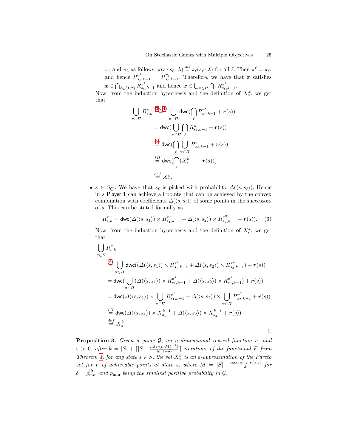$\pi_1$  and  $\pi_2$  as follows:  $\pi(s \cdot s_\ell \cdot \lambda) \stackrel{\text{def}}{=} \pi_\ell(s_\ell \cdot \lambda)$  for all  $\ell$ . Then  $\pi^\ell = \pi_\ell$ , and hence  $R^{\pi^{\ell}}_{s_{\ell},k-1} = R^{\pi_{\ell}}_{s_{\ell},k-1}$ . Therefore, we have that  $\pi$  satisfies  $\boldsymbol{x} \in \bigcap_{\ell \in \{1,2\}} R^{\pi^\ell}_{s_\ell,k-1}$  and hence  $\boldsymbol{x} \in \bigcup_{\pi \in \Pi} \bigcap_{\ell} R^{\pi^\ell}_{s_\ell,k-1}$ .

Now, from the induction hypothesis and the definition of  $X_s^k$ , we get that

$$
\bigcup_{\pi \in \Pi} R_{s,k}^{\pi} \stackrel{(3),(4)}{=} \bigcup_{\pi \in \Pi} \text{dwc}(\bigcap_{\ell} R_{s_{\ell},k-1}^{\pi^{\ell}} + \mathbf{r}(s))
$$
\n
$$
= \text{dwc}(\bigcup_{\pi \in \Pi} \bigcap_{\ell} R_{s_{\ell},k-1}^{\pi} + \mathbf{r}(s))
$$
\n
$$
\stackrel{(5)}{=} \text{dwc}(\bigcap_{\ell} \bigcup_{\pi \in \Pi} R_{s_{\ell},k-1}^{\pi} + \mathbf{r}(s))
$$
\n
$$
\stackrel{IH}{=} \text{dwc}(\bigcap_{\ell} (X_s^{k-1} + \mathbf{r}(s)))
$$
\n
$$
\stackrel{def}{=} X_s^k.
$$

•  $s \in S_{\bigcirc}$ . We have that  $s_{\ell}$  is picked with probability  $\Delta(\langle s, s_{\ell} \rangle)$ . Hence in s Player 1 can achieve all points that can be achieved by the convex combination with coefficients  $\Delta(\langle s, s_\ell \rangle)$  of some points in the successors of s. This can be stated formally as

<span id="page-24-0"></span>
$$
R_{s,k}^{\pi} = \text{dwc}(\Delta(\langle s, s_1 \rangle) \times R_{s_1,k-1}^{\pi^1} + \Delta(\langle s, s_2 \rangle) \times R_{s_2,k-1}^{\pi^2} + \mathbf{r}(s)). \tag{6}
$$

Now, from the induction hypothesis and the definition of  $X_s^k$ , we get that

$$
\bigcup_{\pi \in \Pi} R_{s,k}^{\pi}
$$
\n
$$
\stackrel{\text{(6)}}{=} \bigcup_{\pi \in \Pi} \text{dwc}((\Delta(\langle s, s_1 \rangle) \times R_{s_1,k-1}^{\pi^1} + \Delta(\langle s, s_2 \rangle) \times R_{s_2,k-1}^{\pi^2}) + r(s))
$$
\n
$$
= \text{dwc}(\bigcup_{\pi \in \Pi} (\Delta(\langle s, s_1 \rangle) \times R_{s_1,k-1}^{\pi^1} + \Delta(\langle s, s_2 \rangle) \times R_{s_2,k-1}^{\pi^2}) + r(s))
$$
\n
$$
= \text{dwc}(\Delta(\langle s, s_1 \rangle) \times \bigcup_{\pi \in \Pi} R_{s_1,k-1}^{\pi^1} + \Delta(\langle s, s_2 \rangle) \times \bigcup_{\pi \in \Pi} R_{s_2,k-1}^{\pi^2} + r(s))
$$
\n
$$
\stackrel{\text{IH}}{=} \text{dwc}(\Delta(\langle s, s_1 \rangle) \times X_{s_1}^{k-1} + \Delta(\langle s, s_2 \rangle) \times X_{s_2}^{k-1} + r(s))
$$
\n
$$
\stackrel{\text{def}}{=} X_s^k.
$$

**Proposition 3.** Given a game  $\mathcal{G}$ , an n-dimensional reward function  $\mathbf{r}$ , and  $\varepsilon > 0$ , after  $k = |S| + \lceil |S| \cdot \frac{\ln(\varepsilon \cdot (n \cdot M)^{-1})}{\ln(1-\delta)}$  $\frac{\ln\left(n\cdot\left(n+M\right)-1\right)}{\ln\left(1-\delta\right)}$  iterations of the functional F from Theorem [4,](#page-8-1) for any state  $s \in S$ , the set  $X_s^k$  is an  $\varepsilon$ -approximation of the Pareto set for **r** of achievable points at state s, where  $M = |S| \cdot \frac{\max_{s \in S, i} |r(s)|}{\delta}$  for  $\delta = p_{\min}^{|S|}$  and  $p_{\min}$  being the smallest positive probability in G.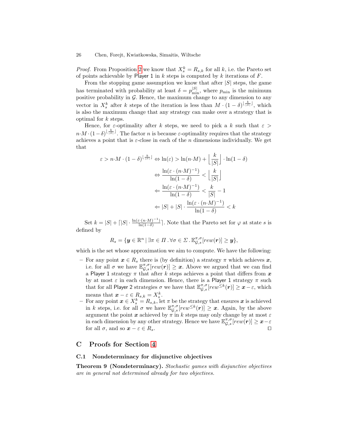*Proof.* From Proposition [2](#page-22-1) we know that  $X_s^k = R_{s,k}$  for all k, i.e. the Pareto set of points achievable by Player 1 in  $k$  steps is computed by  $k$  iterations of  $F$ .

From the stopping game assumption we know that after  $|S|$  steps, the game has terminated with probability at least  $\delta = p_{\min}^{|S|}$ , where  $p_{\min}$  is the minimum positive probability in  $G$ . Hence, the maximum change to any dimension to any vector in  $X_s^k$  after k steps of the iteration is less than  $M \cdot (1 - \delta)^{\lfloor \frac{k}{|S|} \rfloor}$ , which is also the maximum change that any strategy can make over a strategy that is optimal for k steps.

Hence, for  $\varepsilon$ -optimality after k steps, we need to pick a k such that  $\varepsilon >$  $n \cdot M \cdot (1-\delta)^{\lfloor \frac{k}{|S|} \rfloor}$ . The factor n is because  $\varepsilon$ -optimality requires that the strategy achieves a point that is  $\varepsilon$ -close in each of the *n* dimensions individually. We get that

$$
\varepsilon > n \cdot M \cdot (1 - \delta)^{\lfloor \frac{k}{|S|} \rfloor} \Leftrightarrow \ln(\varepsilon) > \ln(n \cdot M) + \left\lfloor \frac{k}{|S|} \right\rfloor \cdot \ln(1 - \delta)
$$

$$
\Leftrightarrow \frac{\ln(\varepsilon \cdot (n \cdot M)^{-1})}{\ln(1 - \delta)} < \left\lfloor \frac{k}{|S|} \right\rfloor
$$

$$
\Leftrightarrow \frac{\ln(\varepsilon \cdot (n \cdot M)^{-1})}{\ln(1 - \delta)} < \frac{k}{|S|} - 1
$$

$$
\Leftrightarrow |S| + |S| \cdot \frac{\ln(\varepsilon \cdot (n \cdot M)^{-1})}{\ln(1 - \delta)} < k
$$

Set  $k = |S| + \lceil |S| \cdot \frac{\ln(\varepsilon \cdot (n \cdot M)^{-1})}{\ln(1 - \delta)}$  $\frac{\ln(n-M)-1}{\ln(1-\delta)}$ . Note that the Pareto set for  $\varphi$  at state s is defined by

$$
R_s = \{ \mathbf{y} \in \mathbb{R}^n \, | \, \exists \pi \in \Pi \, . \, \forall \sigma \in \Sigma \, . \, \mathbb{E}^{\pi,\sigma}_{\mathcal{G},s}[rew(\mathbf{r})] \geq \mathbf{y} \},
$$

which is the set whose approximation we aim to compute. We have the following:

- For any point  $x \in R_s$  there is (by definition) a strategy  $\pi$  which achieves  $x$ , i.e. for all  $\sigma$  we have  $\mathbb{E}_{\mathcal{G},s}^{\pi,\sigma}[rew(\mathbf{r})] \geq x$ . Above we argued that we can find a Player 1 strategy  $\pi$  that after k steps achieves a point that differs from  $x$ by at most  $\varepsilon$  in each dimension. Hence, there is a Player 1 strategy  $\pi$  such that for all Player 2 strategies  $\sigma$  we have that  $\mathbb{E}_{\mathcal{G},s}^{\pi,\sigma}[rew^{\leq k}(r)] \geq x-\varepsilon$ , which means that  $\boldsymbol{x} - \varepsilon \in R_{s,k} = X_s^k$ .
- means that  $x \varepsilon \in R_{s,k} = A_s$ .<br>
 For any point  $x \in X_s^k = R_{s,k}$ , let  $\pi$  be the strategy that ensures  $x$  is achieved in k steps, i.e. for all  $\sigma$  we have  $\mathbb{E}_{\mathcal{G},s}^{\pi,\sigma}[rew^{\leq k}(r)] \geq x$ . Again, by the above argument the point x achieved by  $\pi$  in k steps may only change by at most  $\varepsilon$ in each dimension by any other strategy. Hence we have  $\mathbb{E}_{\mathcal{G},s}^{\pi,\sigma}[rew(\boldsymbol{r})] \geq x-\varepsilon$ for all  $\sigma$ , and so  $x - \varepsilon \in R_s$ .

#### C Proofs for Section [4](#page-9-1)

#### <span id="page-25-0"></span>C.1 Nondeterminacy for disjunctive objectives

Theorem 9 (Nondeterminacy). Stochastic games with disjunctive objectives are in general not determined already for two objectives.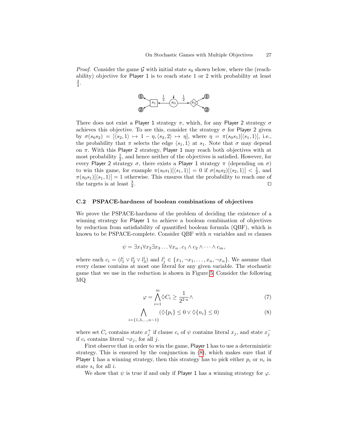*Proof.* Consider the game G with initial state  $s_0$  shown below, where the (reachability) objective for Player 1 is to reach state 1 or 2 with probability at least  $\frac{3}{4}$ .



There does not exist a Player 1 strategy  $\pi$ , which, for any Player 2 strategy  $\sigma$ achieves this objective. To see this, consider the strategy  $\sigma$  for Player 2 given by  $\sigma(s_0s_2) = [\langle s_2, 1 \rangle \mapsto 1 - \eta, \langle s_2, 2 \rangle \mapsto \eta]$ , where  $\eta = \pi(s_0s_1)[\langle s_1, 1 \rangle]$ , i.e., the probability that  $\pi$  selects the edge  $\langle s_1, 1 \rangle$  at  $s_1$ . Note that  $\sigma$  may depend on π. With this Player 2 strategy, Player 1 may reach both objectives with at most probability  $\frac{1}{2}$ , and hence neither of the objectives is satisfied. However, for every Player 2 strategy  $\sigma$ , there exists a Player 1 strategy  $\pi$  (depending on  $\sigma$ ) to win this game, for example  $\pi(s_0s_1)[\langle s_1, 1 \rangle] = 0$  if  $\sigma(s_0s_2)[\langle s_2, 1 \rangle] < \frac{1}{2}$ , and  $\pi(s_0s_1)[\langle s_1, 1 \rangle] = 1$  otherwise. This ensures that the probability to reach one of the targets is at least  $\frac{3}{4}$ . The contract of the contract of the contract  $\Box$ 

#### <span id="page-26-0"></span>C.2 PSPACE-hardness of boolean combinations of objectives

We prove the PSPACE-hardness of the problem of deciding the existence of a winning strategy for Player 1 to achieve a boolean combination of objectives by reduction from satisfiability of quantified boolean formula (QBF), which is known to be PSPACE-complete. Consider QBF with  $n$  variables and  $m$  clauses

$$
\psi = \exists x_1 \forall x_2 \exists x_3 \dots \forall x_n \, . \, c_1 \land c_2 \land \dots \land c_m,
$$

where each  $c_i = (l_1^i \vee l_2^i \vee l_3^i)$  and  $l_j^i \in \{x_1, \neg x_1, \dots, x_n, \neg x_n\}$ . We assume that every clause contains at most one literal for any given variable. The stochastic game that we use in the reduction is shown in Figure [5.](#page-27-0) Consider the following MQ

<span id="page-26-1"></span>
$$
\varphi = \bigwedge_{i=1}^{m} \Diamond C_i \ge \frac{1}{2^{2\cdot n}} \land \tag{7}
$$

$$
\bigwedge_{i=\{1,3,\dots,n-1\}} (\Diamond \{p_i\} \le 0 \lor \Diamond \{n_i\} \le 0)
$$
\n(8)

where set  $C_i$  contains state  $x_j^+$  if clause  $c_i$  of  $\psi$  contains literal  $x_j$ , and state  $x_j^$ if  $c_i$  contains literal  $\neg x_j$ , for all j.

First observe that in order to win the game, Player 1 has to use a deterministic strategy. This is ensured by the conjunction in [\(8\)](#page-26-1), which makes sure that if Player 1 has a winning strategy, then this strategy has to pick either  $p_i$  or  $n_i$  in state  $s_i$  for all i.

We show that  $\psi$  is true if and only if Player 1 has a winning strategy for  $\varphi$ .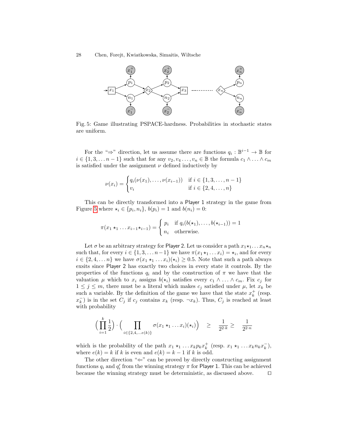<span id="page-27-0"></span>28 Chen, Forejt, Kwiatkowska, Simaitis, Wiltsche



Fig. 5: Game illustrating PSPACE-hardness. Probabilities in stochastic states are uniform.

For the " $\Rightarrow$ " direction, let us assume there are functions  $q_i : \mathbb{B}^{i-1} \to \mathbb{B}$  for  $i \in \{1, 3, \ldots n-1\}$  such that for any  $v_2, v_4, \ldots, v_n \in \mathbb{B}$  the formula  $c_1 \wedge \ldots \wedge c_m$ is satisfied under the assignment  $\nu$  defined inductively by

$$
\nu(x_i) = \begin{cases} q_i(\nu(x_1), \dots, \nu(x_{i-1})) & \text{if } i \in \{1, 3, \dots, n-1\} \\ v_i & \text{if } i \in \{2, 4, \dots, n\} \end{cases}
$$

This can be directly transformed into a Player 1 strategy in the game from Figure [5](#page-27-0) where  $\star_i \in \{p_i, n_i\}, b(p_i) = 1$  and  $b(n_i) = 0$ :

$$
\pi(x_1 \star_1 \ldots x_{i-1} \star_{i-1}) = \begin{cases} p_i & \text{if } q_i(b(\star_1), \ldots, b(\star_{i-1})) = 1 \\ n_i & \text{otherwise.} \end{cases}
$$

Let  $\sigma$  be an arbitrary strategy for Player 2. Let us consider a path  $x_1 \star_1 \ldots x_n \star_n$ such that, for every  $i \in \{1, 3, \ldots n-1\}$  we have  $\pi(x_1 \star_1 \ldots x_i) = \star_i$ , and for every  $i \in \{2, 4, \ldots n\}$  we have  $\sigma(x_1 \star_1 \ldots x_i)(\star_i) \geq 0.5$ . Note that such a path always exsits since Player 2 has exactly two choices in every state it controls. By the properties of the functions  $q_i$  and by the construction of  $\pi$  we have that the valuation  $\mu$  which to  $x_i$  assigns  $b(\star_i)$  satisfies every  $c_1 \wedge \ldots \wedge c_m$ . Fix  $c_j$  for  $1 \leq j \leq m$ , there must be a literal which makes  $c_j$  satisfied under  $\mu$ , let  $x_k$  be such a variable. By the definition of the game we have that the state  $x_k^+$  (resp.  $x_k^-$ ) is in the set  $C_j$  if  $c_j$  contains  $x_k$  (resp.  $\neg x_k$ ). Thus,  $C_j$  is reached at least with probability

$$
\left(\prod_{i=1}^k \frac{1}{2}\right) \cdot \left(\prod_{i \in \{2,4,\ldots e(k)\}} \sigma(x_1 \star_1 \ldots x_i)(\star_i)\right) \quad \geq \quad \frac{1}{2^{2 \cdot k}} \geq \quad \frac{1}{2^{2 \cdot n}}
$$

which is the probability of the path  $x_1 \star_1 \ldots x_k p_k x_k^+$  (resp.  $x_1 \star_1 \ldots x_k n_k x_k^-$ ), where  $e(k) = k$  if k is even and  $e(k) = k - 1$  if k is odd.

The other direction " $\Leftarrow$ " can be proved by directly constructing assignment functions  $q_i$  and  $q'_i$  from the winning strategy  $\pi$  for Player 1. This can be achieved because the winning strategy must be deterministic, as discussed above.  $\Box$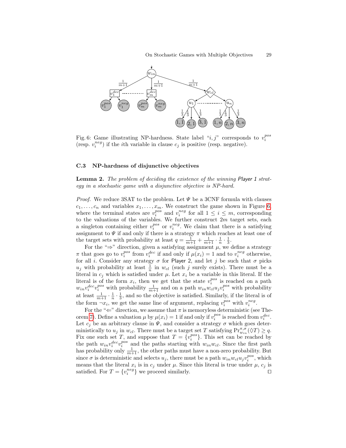<span id="page-28-1"></span>

Fig. 6: Game illustrating NP-hardness. State label " $i, j$ " corresponds to  $v_i^{pos}$ (resp.  $v_i^{neg}$ ) if the *i*th variable in clause  $c_j$  is positive (resp. negative).

#### <span id="page-28-0"></span>C.3 NP-hardness of disjunctive objectives

Lemma 2. The problem of deciding the existence of the winning Player 1 strategy in a stochastic game with a disjunctive objective is NP-hard.

*Proof.* We reduce 3SAT to the problem. Let  $\Psi$  be a 3CNF formula with clauses  $c_1, \ldots, c_n$  and variables  $x_1, \ldots, x_m$ . We construct the game shown in Figure [6,](#page-28-1) where the terminal states are  $v_i^{pos}$  and  $v_i^{neg}$  for all  $1 \le i \le m$ , corresponding to the valuations of the variables. We further construct  $2m$  target sets, each a singleton containing either  $v_i^{pos}$  or  $v_i^{neg}$ . We claim that there is a satisfying assignment to  $\Psi$  if and only if there is a strategy  $\pi$  which reaches at least one of the target sets with probability at least  $q = \frac{1}{m+1} + \frac{1}{m+1} \cdot \frac{1}{n} \cdot \frac{1}{3}$ .

For the " $\Rightarrow$ " direction, given a satisfying assignment  $\mu$ , we define a strategy  $\pi$  that goes go to  $v_i^{pos}$  from  $v_i^{dec}$  if and only if  $\mu(x_i) = 1$  and to  $v_i^{neg}$  otherwise, for all i. Consider any strategy  $\sigma$  for Player 2, and let j be such that  $\sigma$  picks  $u_j$  with probability at least  $\frac{1}{n}$  in  $w_{cl}$  (such j surely exists). There must be a literal in  $c_i$  which is satisfied under  $\mu$ . Let  $x_i$  be a variable in this literal. If the literal is of the form  $x_i$ , then we get that the state  $v_i^{pos}$  is reached on a path  $w_{in}v_i^{dec}v_i^{pos}$  with probability  $\frac{1}{m+1}$  and on a path  $w_{in}w_{cl}u_jv_i^{pos}$  with probability at least  $\frac{1}{m+1} \cdot \frac{1}{n} \cdot \frac{1}{3}$ , and so the objective is satisfied. Similarly, if the literal is of the form  $\neg x_i$ , we get the same line of argument, replacing  $v_i^{pos}$  with  $v_i^{neg}$ .

For the " $\Leftarrow$ " direction, we assume that  $\pi$  is memoryless deterministic (see The-orem [7\)](#page-10-1). Define a valuation  $\mu$  by  $\mu(x_i) = 1$  if and only if  $v_i^{pos}$  is reached from  $v_i^{dec}$ . Let  $c_j$  be an arbitrary clause in  $\Psi$ , and consider a strategy  $\sigma$  which goes deterministically to  $u_j$  in  $w_{cl}$ . There must be a target set T satisfying  $Pr_{w_{in}}^{\pi,\sigma}(\Diamond T) \geq q$ . Fix one such set T, and suppose that  $T = \{v_i^{pos}\}\$ . This set can be reached by the path  $w_{in}v_i^{dec}v_i^{pos}$  and the paths starting with  $w_{in}w_{cl}$ . Since the first path has probability only  $\frac{1}{m+1}$ , the other paths must have a non-zero probability. But since  $\sigma$  is deterministic and selects  $u_j$ , there must be a path  $w_{in}w_{cl}u_jv_i^{pos}$ , which means that the literal  $x_i$  is in  $c_j$  under  $\mu$ . Since this literal is true under  $\mu$ ,  $c_j$  is satisfied. For  $T = \{v_i^{neg}\}\$  we proceed similarly.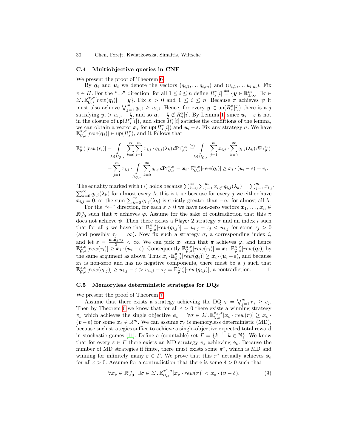#### <span id="page-29-0"></span>C.4 Multiobjective queries in CNF

We present the proof of Theorem [6.](#page-10-0)

By  $q_i$  and  $u_i$  we denote the vectors  $(q_{i,1}, \ldots q_{i,m})$  and  $(u_{i,1}, \ldots u_{i,m})$ . Fix  $\pi \in \Pi$ . For the " $\Rightarrow$ " direction, for all  $1 \leq i \leq n$  define  $R_s^{\pi}[i] \stackrel{\text{def}}{=} {\{y \in \mathbb{R}_{\pm \infty}^m \mid \exists \sigma \in \Pi\}}$  $\Sigma \cdot \mathbb{E}_{\mathcal{G},s}^{\pi,\sigma}[rew(\boldsymbol{q}_i)] = \boldsymbol{y}$ . Fix  $\varepsilon > 0$  and  $1 \leq i \leq n$ . Because  $\pi$  achieves  $\psi$  it must also achieve  $\bigvee_{j=1}^{m} q_{i,j} \geq u_{i,j}$ . Hence, for every  $y \in \text{up}(R_s^{\pi}[i])$  there is a j satisfying  $y_j > u_{i,j} - \frac{\varepsilon}{2}$ , and so  $u_i - \frac{\varepsilon}{2} \notin R_{\delta}^{\pi}[i]$ . By Lemma [1,](#page-10-2) since  $u_i - \varepsilon$  is not in the closure of  $\mathsf{up}(R_s^{\pi}[i])$ , and since  $R_s^{\pi}[i]$  satisfies the conditions of the lemma, we can obtain a vector  $x_i$  for  $\text{up}(R_s^{\pi}[i])$  and  $u_i - \varepsilon$ . Fix any strategy  $\sigma$ . We have  $\mathbb{E}_{\mathcal{G},s}^{\pi,\sigma}[rew(\boldsymbol{q}_i)] \in \mathsf{up}(R_s^{\pi}),$  and it follows that

$$
\mathbb{E}_{\mathcal{G},s}^{\pi,\sigma}[rew(r_i)] = \int_{\lambda \in \Omega_{\mathcal{G},s}} \sum_{k=0}^{\infty} \sum_{j=1}^{m} x_{i,j} \cdot q_{i,j}(\lambda_k) d\text{Pr}_{\mathcal{G},s}^{\pi,\sigma} \stackrel{(*)}{=} \int_{\lambda \in \Omega_{\mathcal{G},s}} \sum_{j=1}^{m} x_{i,j} \cdot \sum_{k=0}^{\infty} q_{i,j}(\lambda_k) d\text{Pr}_{\mathcal{G},s}^{\pi,\sigma}
$$

$$
= \sum_{j=1}^{m} x_{i,j} \cdot \int_{\Omega_{\mathcal{G},s}} \sum_{k=0}^{\infty} q_{i,j} d\text{Pr}_{\mathcal{G},s}^{\pi,\sigma} = \boldsymbol{x}_i \cdot \mathbb{E}_{\mathcal{G},s}^{\pi,\sigma}[rew(\boldsymbol{q}_i)] \geq \boldsymbol{x}_i \cdot (\boldsymbol{u}_i - \varepsilon) = v_i.
$$

The equality marked with (\*) holds because  $\sum_{k=0}^{\infty} \sum_{j=1}^{m} x_{i,j} \cdot q_{i,j}(\lambda_k) = \sum_{j=1}^{m} x_{i,j}$ .  $\sum_{k=0}^{\infty} q_{i,j}(\lambda_k)$  for almost every  $\lambda$ ; this is true because for every j we either have  $\sum_{k=0}^{\infty} q_{i,j}(\lambda_k)$  is strictly greater than  $-\infty$  for almost all  $\lambda$ .

For the " $\Leftarrow$ " direction, for each  $\varepsilon > 0$  we have non-zero vectors  $x_1, \ldots, x_n \in$  $\mathbb{R}^m_{\geq 0}$  such that  $\pi$  achieves  $\varphi$ . Assume for the sake of contradiction that this  $\pi$ does not achieve  $\psi$ . Then there exists a Player 2 strategy  $\sigma$  and an index i such that for all j we have that  $\mathbb{E}_{\mathcal{G},s}^{\pi,\sigma}[rew(q_{i,j})] = u_{i,j} - \tau_i < u_{i,j}$  for some  $\tau_j > 0$ (and possibly  $\tau_j = \infty$ ). Now fix such a strategy  $\sigma$ , a corresponding index i, and let  $\varepsilon = \frac{\min_j \tau_j}{2} < \infty$ . We can pick  $x_i$  such that  $\pi$  achieves  $\varphi$ , and hence  $\mathbb{E}_{\mathcal{G},s}^{\pi,\sigma}[rew(r_i)] \geq \mathbf{\hat{x}}_i \cdot (\mathbf{u}_i - \varepsilon).$  Consequently  $\mathbb{E}_{\mathcal{G},s}^{\pi,\sigma}[rew(r_i)] = \mathbf{x}_i \cdot \mathbb{E}_{\mathcal{G},s}^{\pi,\sigma}[rew(\mathbf{q}_i)]$  by the same argument as above. Thus  $x_i \cdot \mathbb{E}_{\mathcal{G},s}^{\pi,\sigma}[rew(q_i)] \geq x_i \cdot (u_i - \varepsilon)$ , and because  $x_i$  is non-zero and has no negative components, there must be a j such that  $\mathbb{E}_{\mathcal{G},s}^{\pi,\sigma}[rew(q_{i,j})] \geq u_{i,j} - \varepsilon > u_{u,j} - \tau_j = \mathbb{E}_{\mathcal{G},s}^{\pi,\sigma}[rew(q_{i,j})],$  a contradiction.

#### C.5 Memoryless deterministic strategies for DQs

We present the proof of Theorem [7.](#page-10-1)

Assume that there exists a strategy achieving the DQ  $\varphi = \bigvee_{j=1}^{m} r_j \geq v_j$ . Then by Theorem [6](#page-10-0) we know that for all  $\varepsilon > 0$  there exists a winning strategy  $\pi_{\varepsilon}$  which achieves the single objective  $\phi_{\varepsilon} = \forall \sigma \in \Sigma$ .  $\mathbb{E}^{\pi_{\varepsilon}, \sigma}_{\mathcal{G}, s}[\mathbf{x}_{\varepsilon} \cdot \textit{rew}(\mathbf{r})] \geq \mathbf{x}_{\varepsilon}$ .  $(v - \varepsilon)$  for some  $\mathbf{x}_{\varepsilon} \in \mathbb{R}^m$ . We can assume  $\pi_{\varepsilon}$  is memoryless deterministic (MD), because such strategies suffice to achieve a single-objective expected total reward in stochastic games [\[11\]](#page-12-21). Define a (countable) set  $\Gamma = \{k^{-1} | k \in \mathbb{N}\}\.$  We know that for every  $\varepsilon \in \Gamma$  there exists an MD strategy  $\pi_{\varepsilon}$  achieving  $\phi_{\varepsilon}$ . Because the number of MD strategies if finite, there must exists some  $\pi^*$ , which is MD and winning for infinitely many  $\varepsilon \in \Gamma$ . We prove that this  $\pi^*$  actually achieves  $\phi_{\varepsilon}$ for all  $\varepsilon > 0$ . Assume for a contradiction that there is some  $\delta > 0$  such that

<span id="page-29-1"></span>
$$
\forall \boldsymbol{x}_{\delta} \in \mathbb{R}_{\geq 0}^m \, . \, \exists \sigma \in \Sigma \, . \, \mathbb{E}_{\mathcal{G},s}^{\pi^*,\sigma}[\boldsymbol{x}_{\delta} \cdot \mathit{rew}(\boldsymbol{r})] < \boldsymbol{x}_{\delta} \cdot (\boldsymbol{v} - \delta). \tag{9}
$$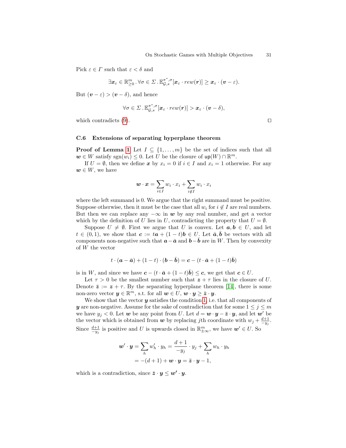Pick  $\varepsilon \in \Gamma$  such that  $\varepsilon < \delta$  and

$$
\exists \boldsymbol{x}_{\varepsilon} \in \mathbb{R}_{\geq 0}^m \ . \ \forall \sigma \in \Sigma \ . \ \mathbb{E}_{\mathcal{G},s}^{\pi^*,\sigma}[\boldsymbol{x}_{\varepsilon} \cdot \mathit{rew}(\boldsymbol{r})] \geq \boldsymbol{x}_{\varepsilon} \cdot (\boldsymbol{v}-\varepsilon).
$$

But  $(\boldsymbol{v} - \varepsilon) > (\boldsymbol{v} - \delta)$ , and hence

$$
\forall \sigma \in \Sigma \,.\, \mathbb{E}_{\mathcal{G},s}^{\pi^*,\sigma}[\boldsymbol{x}_{\varepsilon} \cdot \mathit{rew}(\boldsymbol{r})] > \boldsymbol{x}_{\varepsilon} \cdot (\boldsymbol{v} - \delta),
$$

which contradicts  $(9)$ .

#### <span id="page-30-0"></span>C.6 Extensions of separating hyperplane theorem

**Proof of Lemma [1](#page-10-2)** Let  $I \subseteq \{1, \ldots, m\}$  be the set of indices such that all  $w \in W$  satisfy sgn $(w_i) \leq 0$ . Let U be the closure of  $up(W) \cap \mathbb{R}^m$ .

If  $U = \emptyset$ , then we define x by  $x_i = 0$  if  $i \in I$  and  $x_i = 1$  otherwise. For any  $w \in W$ , we have

$$
\boldsymbol{w} \cdot \boldsymbol{x} = \sum_{i \in I} w_i \cdot x_i + \sum_{i \not\in I} w_i \cdot x_i
$$

where the left summand is 0. We argue that the right summand must be positive. Suppose otherwise, then it must be the case that all  $w_i$  for  $i \notin I$  are real numbers. But then we can replace any  $-\infty$  in w by any real number, and get a vector which by the definition of U lies in U, contradicting the property that  $U = \emptyset$ .

Suppose  $U \neq \emptyset$ . First we argue that U is convex. Let  $a, b \in U$ , and let  $t \in (0,1)$ , we show that  $c := t\vec{a} + (1-t)\vec{b} \in U$ . Let  $\vec{a}, \vec{b}$  be vectors with all components non-negative such that  $\mathbf{a}-\bar{\mathbf{a}}$  and  $\mathbf{b}-\bar{\mathbf{b}}$  are in W. Then by convexity of W the vector

$$
t \cdot (\mathbf{a} - \bar{\mathbf{a}}) + (1 - t) \cdot (\mathbf{b} - \bar{\mathbf{b}}) = \mathbf{c} - (t \cdot \bar{\mathbf{a}} + (1 - t)\bar{\mathbf{b}})
$$

is in W, and since we have  $c - (t \cdot \bar{a} + (1 - t)\bar{b}) \leq c$ , we get that  $c \in U$ .

Let  $\tau > 0$  be the smallest number such that  $z + \tau$  lies in the closure of U. Denote  $\bar{z} := z + \tau$ . By the separating hyperplane theorem [\[14\]](#page-12-22), there is some non-zero vector  $y \in \mathbb{R}^m$ , s.t. for all  $w \in U, w \cdot y \geq \bar{z} \cdot y$ .

We show that the vector  $y$  satisfies the condition [1,](#page-10-3) i.e. that all components of y are non-negative. Assume for the sake of contradiction that for some  $1 \leq j \leq m$ we have  $y_j < 0$ . Let w be any point from U. Let  $d = \mathbf{w} \cdot \mathbf{y} - \bar{\mathbf{z}} \cdot \mathbf{y}$ , and let w' be the vector which is obtained from w by replacing jth coordinate with  $w_j + \frac{d+1}{-y_j}$ . Since  $\frac{d+1}{-y_j}$  is positive and U is upwards closed in  $\mathbb{R}^m_{\pm\infty}$ , we have  $w' \in U$ . So

$$
\mathbf{w}' \cdot \mathbf{y} = \sum_{h} w'_{h} \cdot y_{h} = \frac{d+1}{-y_{j}} \cdot y_{j} + \sum_{h} w_{h} \cdot y_{h}
$$

$$
= -(d+1) + \mathbf{w} \cdot \mathbf{y} = \bar{\mathbf{z}} \cdot \mathbf{y} - 1,
$$

which is a contradiction, since  $\bar{z} \cdot y \leq w' \cdot y$ .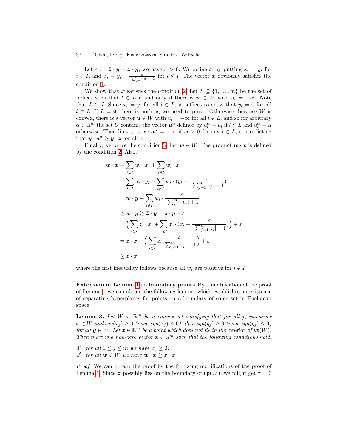Let  $\varepsilon := \bar{\mathbf{z}} \cdot \mathbf{y} - \mathbf{z} \cdot \mathbf{y}$ , we have  $\varepsilon > 0$ . We define x by putting  $x_i = y_i$  for  $i \in I$ , and  $x_i = y_i + \frac{\varepsilon}{\sum_{j=1}^m z_j + 1}$  for  $i \notin I$ . The vector x obviously satisfies the condition [1.](#page-10-3)

We show that x satisfies the condition [2.](#page-10-4) Let  $L \subseteq \{1, \ldots, m\}$  be the set of indices such that  $l \in L$  if and only if there is  $u \in W$  with  $u_l = -\infty$ . Note that  $L \subseteq I$ . Since  $x_l = y_l$  for all  $l \in L$ , it suffices to show that  $y_l = 0$  for all  $l \in L$ . If  $L = \emptyset$ , there is nothing we need to prove. Otherwise, because W is convex, there is a vector  $u \in W$  with  $u_l = -\infty$  for all  $l \in L$ , and so for arbitrary  $\alpha \in \mathbb{R}^m$  the set U contains the vector  $u^{\alpha}$  defined by  $u_l^{\alpha} = u_l$  if  $l \in L$  and  $u_l^{\alpha} = \alpha$ otherwise. Then  $\lim_{\alpha \to -\infty} x \cdot u^{\alpha} = -\infty$  if  $y_l > 0$  for any  $l \in L$ , contradicting that  $y \cdot u^{\alpha} \geq y \cdot z$  for all  $\alpha$ .

Finally, we prove the condition [3.](#page-10-5) Let  $w \in W$ . The product  $w \cdot x$  is defined by the condition [2.](#page-10-4) Also,

$$
\mathbf{w} \cdot \mathbf{x} = \sum_{i \in I} w_i \cdot x_i + \sum_{i \notin I} w_i \cdot x_i
$$
  
\n
$$
= \sum_{i \in I} w_i \cdot y_i + \sum_{i \notin I} w_i \cdot (y_i + \frac{\varepsilon}{|\sum_{j=1}^m z_j| + 1})
$$
  
\n
$$
= \mathbf{w} \cdot \mathbf{y} + \sum_{i \notin I} w_i \cdot \frac{\varepsilon}{|\sum_{j=1}^m z_j| + 1}
$$
  
\n
$$
\geq \mathbf{w} \cdot \mathbf{y} \geq \overline{z} \cdot \mathbf{y} = z \cdot \mathbf{y} + \varepsilon
$$
  
\n
$$
= \left( \sum_{i \in I} z_i \cdot x_i + \sum_{i \notin I} z_i \cdot (x_i - \frac{\varepsilon}{|\sum_{j=1}^m z_j| + 1}) \right) + \varepsilon
$$
  
\n
$$
= z \cdot \mathbf{x} - \left( \sum_{i \notin I} z_i \frac{\varepsilon}{|\sum_{j=1}^m z_j| + 1} \right) + \varepsilon
$$
  
\n
$$
\geq z \cdot \mathbf{x}.
$$

where the first inequality follows because all  $w_i$  are positive for  $i \notin I$ .

Extension of Lemma [1](#page-10-2) to boundary points By a modification of the proof of Lemma [1](#page-10-2) we can obtain the following lemma, which establishes an existence of separating hyperplanes for points on a boundary of some set in Euclidean space.

<span id="page-31-0"></span>**Lemma 3.** Let  $W \subseteq \mathbb{R}^m$  be a convex set satisfying that for all j, whenever  $x \in W$  and  $sgn(x_j) \geq 0$  (resp.  $sgn(x_j) \leq 0$ ), then  $sgn(y_j) \geq 0$  (resp.  $sgn(y_j) \leq 0$ ) for all  $y \in W$ . Let  $z \in \mathbb{R}^m$  be a point which does not lie in the interior of  $up(W)$ . Then there is a non-zero vector  $\boldsymbol{x} \in \mathbb{R}^m$  such that the following conditions hold:

1'. for all  $1 \leq j \leq m$  we have  $x_j \geq 0$ ; 3'. for all  $w \in W$  we have  $w \cdot x \geq z \cdot x$ .

Proof. We can obtain the proof by the following modifications of the proof of Lemma [1:](#page-10-2) Since z possibly lies on the boundary of  $up(W)$ , we might get  $\tau = 0$